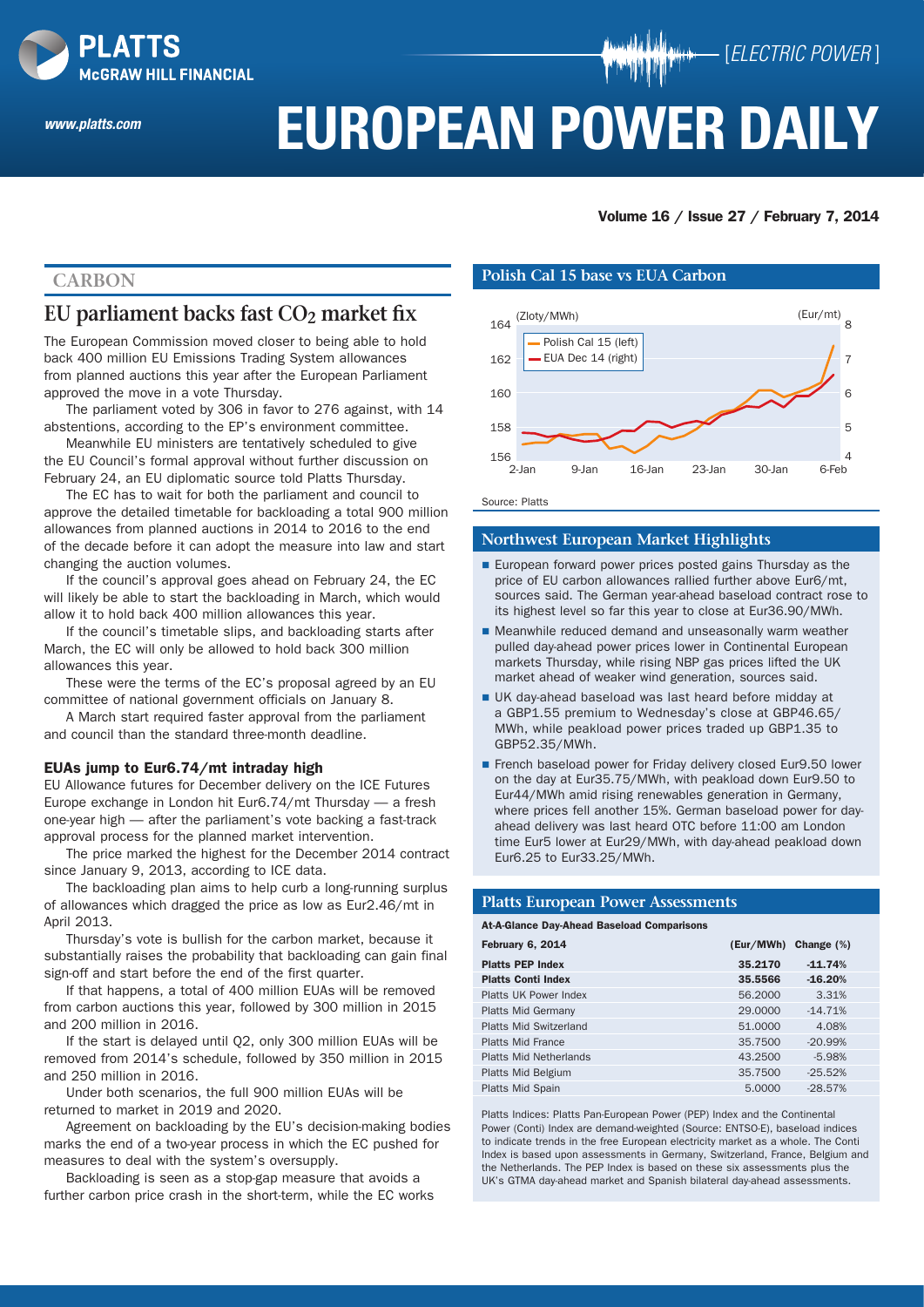

*www.platts.com*

# **EUROPEAN POWER DAILY**

## Volume 16 / Issue 27 / February 7, 2014

[*ELECTRIC POWER* ]

# **Carbon**

# **EU parliament backs fast CO2 market fix**

The European Commission moved closer to being able to hold back 400 million EU Emissions Trading System allowances from planned auctions this year after the European Parliament approved the move in a vote Thursday.

The parliament voted by 306 in favor to 276 against, with 14 abstentions, according to the EP's environment committee.

Meanwhile EU ministers are tentatively scheduled to give the EU Council's formal approval without further discussion on February 24, an EU diplomatic source told Platts Thursday.

The EC has to wait for both the parliament and council to approve the detailed timetable for backloading a total 900 million allowances from planned auctions in 2014 to 2016 to the end of the decade before it can adopt the measure into law and start changing the auction volumes.

If the council's approval goes ahead on February 24, the EC will likely be able to start the backloading in March, which would allow it to hold back 400 million allowances this year.

If the council's timetable slips, and backloading starts after March, the EC will only be allowed to hold back 300 million allowances this year.

These were the terms of the EC's proposal agreed by an EU committee of national government officials on January 8.

A March start required faster approval from the parliament and council than the standard three-month deadline.

#### EUAs jump to Eur6.74/mt intraday high

EU Allowance futures for December delivery on the ICE Futures Europe exchange in London hit Eur6.74/mt Thursday — a fresh one-year high — after the parliament's vote backing a fast-track approval process for the planned market intervention.

The price marked the highest for the December 2014 contract since January 9, 2013, according to ICE data.

The backloading plan aims to help curb a long-running surplus of allowances which dragged the price as low as Eur2.46/mt in April 2013.

Thursday's vote is bullish for the carbon market, because it substantially raises the probability that backloading can gain final sign-off and start before the end of the first quarter.

If that happens, a total of 400 million EUAs will be removed from carbon auctions this year, followed by 300 million in 2015 and 200 million in 2016.

If the start is delayed until Q2, only 300 million EUAs will be removed from 2014's schedule, followed by 350 million in 2015 and 250 million in 2016.

Under both scenarios, the full 900 million EUAs will be returned to market in 2019 and 2020.

Agreement on backloading by the EU's decision-making bodies marks the end of a two-year process in which the EC pushed for measures to deal with the system's oversupply.

Backloading is seen as a stop-gap measure that avoids a further carbon price crash in the short-term, while the EC works

#### **Polish Cal 15 base vs EUA Carbon**



Source: Platts

#### **Northwest European Market Highlights**

- **European forward power prices posted gains Thursday as the** price of EU carbon allowances rallied further above Eur6/mt, sources said. The German year-ahead baseload contract rose to its highest level so far this year to close at Eur36.90/MWh.
- Meanwhile reduced demand and unseasonally warm weather pulled day-ahead power prices lower in Continental European markets Thursday, while rising NBP gas prices lifted the UK market ahead of weaker wind generation, sources said.
- UK day-ahead baseload was last heard before midday at a GBP1.55 premium to Wednesday's close at GBP46.65/ MWh, while peakload power prices traded up GBP1.35 to GBP52.35/MWh.
- French baseload power for Friday delivery closed Eur9.50 lower on the day at Eur35.75/MWh, with peakload down Eur9.50 to Eur44/MWh amid rising renewables generation in Germany, where prices fell another 15%. German baseload power for dayahead delivery was last heard OTC before 11:00 am London time Eur5 lower at Eur29/MWh, with day-ahead peakload down Eur6.25 to Eur33.25/MWh.

#### **Platts European Power Assessments**

#### At-A-Glance Day-Ahead Baseload Comparisons

| February 6, 2014              | (Eur/MWh) | Change $(\%)$ |
|-------------------------------|-----------|---------------|
| <b>Platts PEP Index</b>       | 35.2170   | $-11.74%$     |
| <b>Platts Conti Index</b>     | 35,5566   | $-16.20%$     |
| Platts UK Power Index         | 56,2000   | 3.31%         |
| <b>Platts Mid Germany</b>     | 29,0000   | $-14.71%$     |
| <b>Platts Mid Switzerland</b> | 51,0000   | 4.08%         |
| <b>Platts Mid France</b>      | 35,7500   | $-20.99%$     |
| Platts Mid Netherlands        | 43.2500   | $-5.98%$      |
| Platts Mid Belgium            | 35,7500   | $-25.52%$     |
| Platts Mid Spain              | 5.0000    | $-28.57%$     |

Platts Indices: Platts Pan-European Power (PEP) Index and the Continental Power (Conti) Index are demand-weighted (Source: ENTSO-E), baseload indices to indicate trends in the free European electricity market as a whole. The Conti Index is based upon assessments in Germany, Switzerland, France, Belgium and the Netherlands. The PEP Index is based on these six assessments plus the UK's GTMA day-ahead market and Spanish bilateral day-ahead assessments.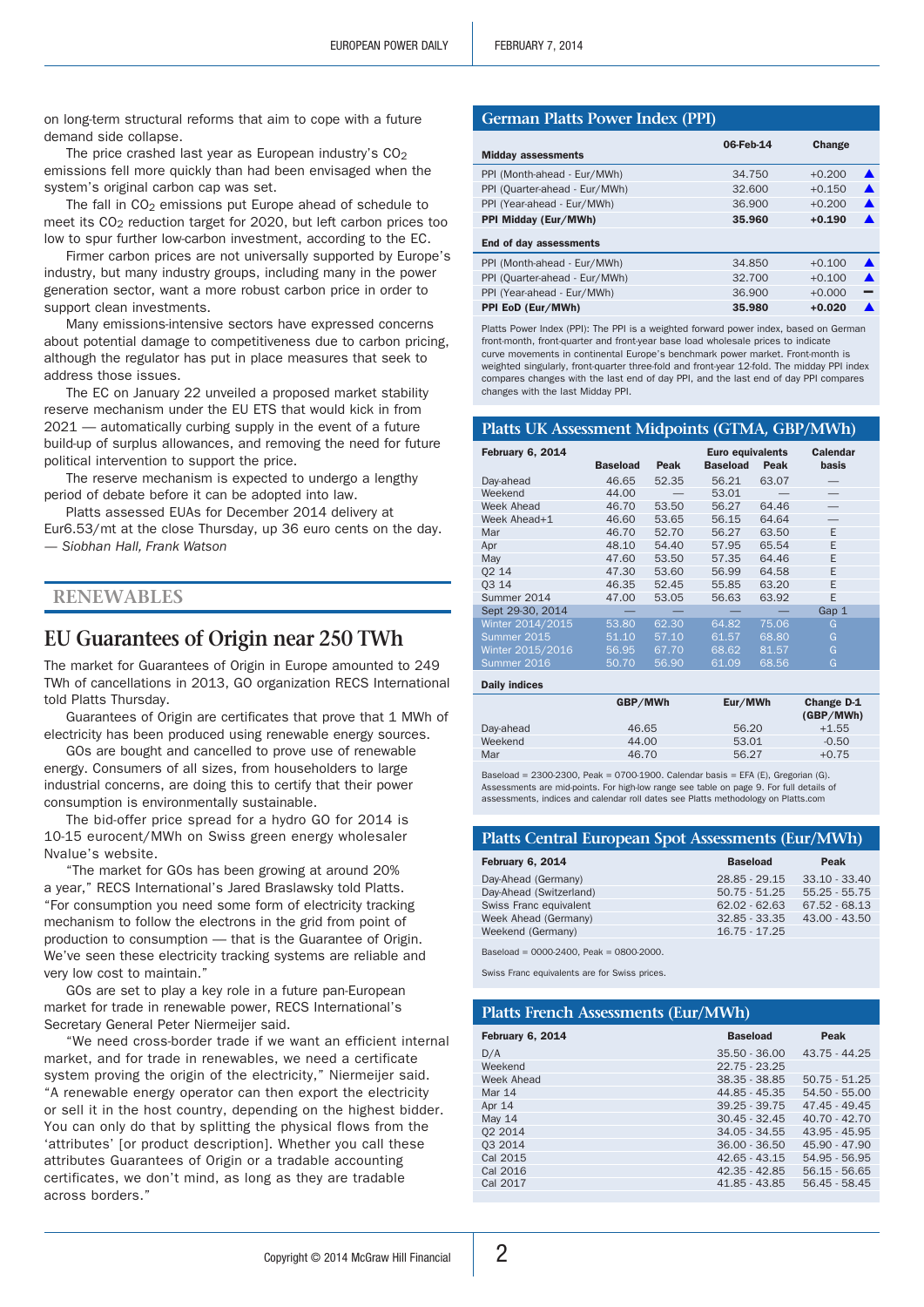on long-term structural reforms that aim to cope with a future demand side collapse.

The price crashed last year as European industry's  $CO<sub>2</sub>$ emissions fell more quickly than had been envisaged when the system's original carbon cap was set.

The fall in  $CO<sub>2</sub>$  emissions put Europe ahead of schedule to meet its CO<sub>2</sub> reduction target for 2020, but left carbon prices too low to spur further low-carbon investment, according to the EC.

Firmer carbon prices are not universally supported by Europe's industry, but many industry groups, including many in the power generation sector, want a more robust carbon price in order to support clean investments.

Many emissions-intensive sectors have expressed concerns about potential damage to competitiveness due to carbon pricing, although the regulator has put in place measures that seek to address those issues.

The EC on January 22 unveiled a proposed market stability reserve mechanism under the EU ETS that would kick in from 2021 — automatically curbing supply in the event of a future build-up of surplus allowances, and removing the need for future political intervention to support the price.

The reserve mechanism is expected to undergo a lengthy period of debate before it can be adopted into law.

Platts assessed EUAs for December 2014 delivery at Eur6.53/mt at the close Thursday, up 36 euro cents on the day. *— Siobhan Hall, Frank Watson*

## **Renewables**

# **EU Guarantees of Origin near 250 TWh**

The market for Guarantees of Origin in Europe amounted to 249 TWh of cancellations in 2013, GO organization RECS International told Platts Thursday.

Guarantees of Origin are certificates that prove that 1 MWh of electricity has been produced using renewable energy sources.

GOs are bought and cancelled to prove use of renewable energy. Consumers of all sizes, from householders to large industrial concerns, are doing this to certify that their power consumption is environmentally sustainable.

The bid-offer price spread for a hydro GO for 2014 is 10-15 eurocent/MWh on Swiss green energy wholesaler Nvalue's website.

"The market for GOs has been growing at around 20% a year," RECS International's Jared Braslawsky told Platts. "For consumption you need some form of electricity tracking mechanism to follow the electrons in the grid from point of production to consumption — that is the Guarantee of Origin. We've seen these electricity tracking systems are reliable and very low cost to maintain."

GOs are set to play a key role in a future pan-European market for trade in renewable power, RECS International's Secretary General Peter Niermeijer said.

"We need cross-border trade if we want an efficient internal market, and for trade in renewables, we need a certificate system proving the origin of the electricity," Niermeijer said. "A renewable energy operator can then export the electricity or sell it in the host country, depending on the highest bidder. You can only do that by splitting the physical flows from the 'attributes' [or product description]. Whether you call these attributes Guarantees of Origin or a tradable accounting certificates, we don't mind, as long as they are tradable across borders."

#### **German Platts Power Index (PPI)**

| <b>Midday assessments</b>     | 06-Feb-14 | Change   |   |
|-------------------------------|-----------|----------|---|
| PPI (Month-ahead - Eur/MWh)   | 34.750    | $+0.200$ |   |
| PPI (Quarter-ahead - Eur/MWh) | 32,600    | $+0.150$ | ▲ |
| PPI (Year-ahead - Eur/MWh)    | 36,900    | $+0.200$ | ▲ |
| PPI Midday (Eur/MWh)          | 35.960    | $+0.190$ |   |
| End of day assessments        |           |          |   |
| PPI (Month-ahead - Eur/MWh)   | 34.850    | $+0.100$ |   |
| PPI (Quarter-ahead - Eur/MWh) | 32.700    | $+0.100$ |   |
| PPI (Year-ahead - Eur/MWh)    | 36,900    | $+0.000$ |   |
| PPI EoD (Eur/MWh)             | 35.980    | $+0.020$ |   |

Platts Power Index (PPI): The PPI is a weighted forward power index, based on German front-month, front-quarter and front-year base load wholesale prices to indicate curve movements in continental Europe's benchmark power market. Front-month is weighted singularly, front-quarter three-fold and front-year 12-fold. The midday PPI index compares changes with the last end of day PPI, and the last end of day PPI compares changes with the last Midday PPI.

#### **Platts UK Assessment Midpoints (GTMA, GBP/MWh)**

| <b>February 6, 2014</b> | <b>Baseload</b> | Peak  | <b>Euro equivalents</b><br><b>Baseload</b> | Peak  | <b>Calendar</b><br>basis |
|-------------------------|-----------------|-------|--------------------------------------------|-------|--------------------------|
| Day-ahead               | 46.65           | 52.35 | 56.21                                      | 63.07 |                          |
| Weekend                 | 44.00           |       | 53.01                                      |       |                          |
| Week Ahead              | 46.70           | 53.50 | 56.27                                      | 64.46 |                          |
| Week Ahead+1            | 46.60           | 53.65 | 56.15                                      | 64.64 |                          |
| Mar                     | 46.70           | 52.70 | 56.27                                      | 63.50 | E                        |
| Apr                     | 48.10           | 54.40 | 57.95                                      | 65.54 | F                        |
| May                     | 47.60           | 53.50 | 57.35                                      | 64.46 | E                        |
| 02 14                   | 47.30           | 53.60 | 56.99                                      | 64.58 | E                        |
| 03 14                   | 46.35           | 52.45 | 55.85                                      | 63.20 | E                        |
| Summer 2014             | 47.00           | 53.05 | 56.63                                      | 63.92 | E                        |
| Sept 29-30, 2014        |                 |       |                                            |       | Gap 1                    |
| Winter 2014/2015        | 53.80           | 62.30 | 64.82                                      | 75.06 | G                        |
| Summer 2015             | 51.10           | 57.10 | 61.57                                      | 68.80 | G                        |
| Winter 2015/2016        | 56.95           | 67.70 | 68.62                                      | 81.57 | G                        |
| Summer 2016             | 50.70           | 56.90 | 61.09                                      | 68.56 | G                        |
|                         |                 |       |                                            |       |                          |

| GBP/MWh | Eur/MWh | Change D-1<br>(GBP/MWh) |
|---------|---------|-------------------------|
| 46.65   | 56.20   | $+1.55$                 |
| 44.00   | 53.01   | $-0.50$                 |
| 46.70   | 56.27   | $+0.75$                 |
|         |         |                         |

Baseload = 2300-2300, Peak = 0700-1900. Calendar basis = EFA (E), Gregorian (G). Assessments are mid-points. For high-low range see table on page 9. For full details of assessments, indices and calendar roll dates see Platts methodology on Platts.com

#### **Platts Central European Spot Assessments (Eur/MWh)**

| February 6, 2014        | <b>Baseload</b> | Peak            |
|-------------------------|-----------------|-----------------|
| Day-Ahead (Germany)     | 28.85 - 29.15   | $33.10 - 33.40$ |
| Day-Ahead (Switzerland) | $50.75 - 51.25$ | $55.25 - 55.75$ |
| Swiss Franc equivalent  | $62.02 - 62.63$ | $67.52 - 68.13$ |
| Week Ahead (Germany)    | $32.85 - 33.35$ | $43.00 - 43.50$ |
| Weekend (Germany)       | $16.75 - 17.25$ |                 |
|                         |                 |                 |

Baseload = 0000-2400, Peak = 0800-2000.

Daily indices

Swiss Franc equivalents are for Swiss prices.

| <b>Platts French Assessments (Eur/MWh)</b> |                 |                 |  |  |
|--------------------------------------------|-----------------|-----------------|--|--|
| February 6, 2014                           | <b>Baseload</b> | Peak            |  |  |
| D/A                                        | $35.50 - 36.00$ | $43.75 - 44.25$ |  |  |
| Weekend                                    | $22.75 - 23.25$ |                 |  |  |
| Week Ahead                                 | $38.35 - 38.85$ | $50.75 - 51.25$ |  |  |
| <b>Mar 14</b>                              | 44.85 - 45.35   | $54.50 - 55.00$ |  |  |
| Apr 14                                     | $39.25 - 39.75$ | $47.45 - 49.45$ |  |  |
| <b>May 14</b>                              | $30.45 - 32.45$ | $40.70 - 42.70$ |  |  |
| 02 2014                                    | $34.05 - 34.55$ | $43.95 - 45.95$ |  |  |
| 03 2014                                    | $36.00 - 36.50$ | $45.90 - 47.90$ |  |  |
| Cal 2015                                   | $42.65 - 43.15$ | 54.95 - 56.95   |  |  |
| Cal 2016                                   | $42.35 - 42.85$ | $56.15 - 56.65$ |  |  |
| Cal 2017                                   | 41.85 - 43.85   | 56.45 - 58.45   |  |  |
|                                            |                 |                 |  |  |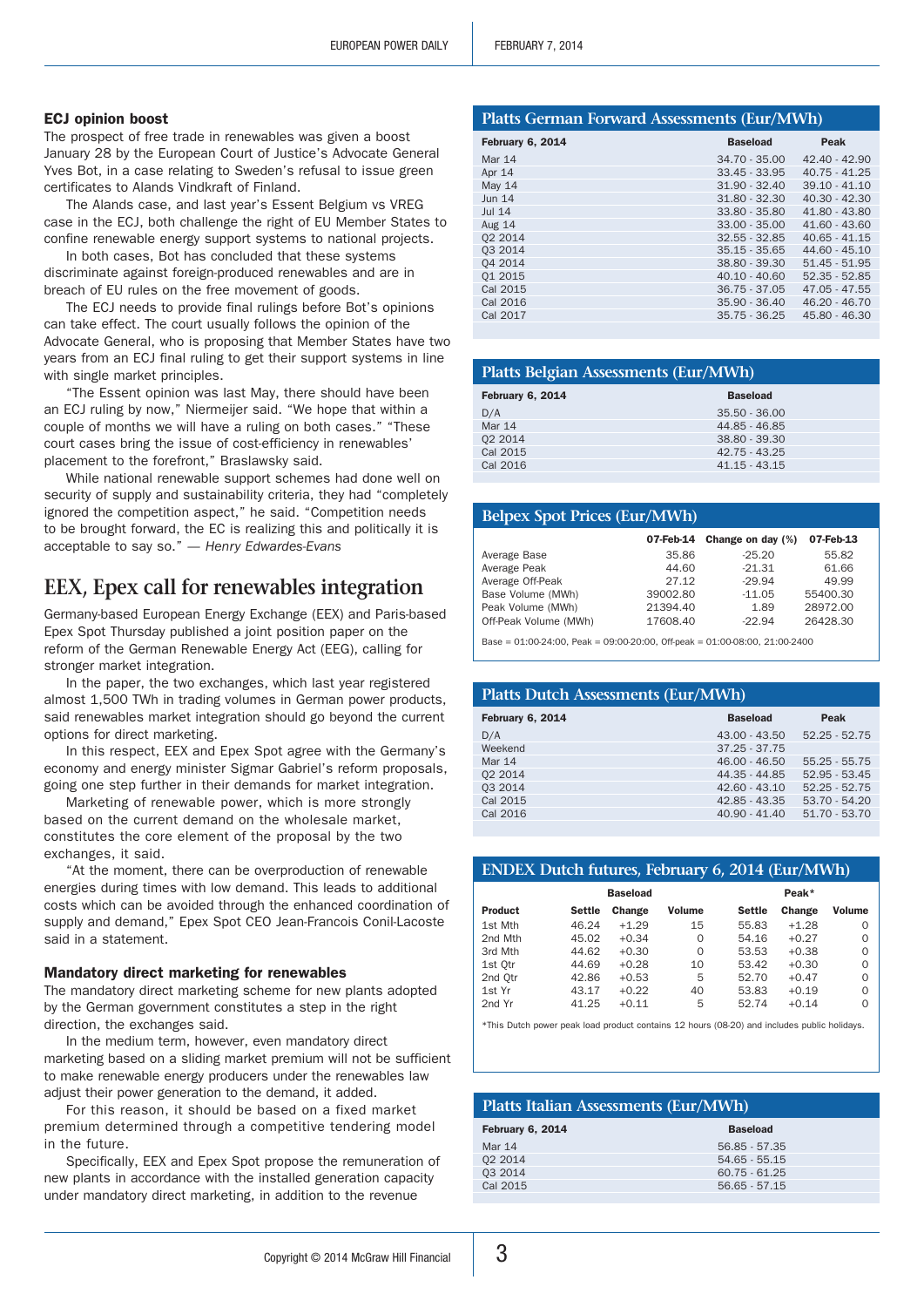#### ECJ opinion boost

The prospect of free trade in renewables was given a boost January 28 by the European Court of Justice's Advocate General Yves Bot, in a case relating to Sweden's refusal to issue green certificates to Alands Vindkraft of Finland.

The Alands case, and last year's Essent Belgium vs VREG case in the ECJ, both challenge the right of EU Member States to confine renewable energy support systems to national projects.

In both cases, Bot has concluded that these systems discriminate against foreign-produced renewables and are in breach of EU rules on the free movement of goods.

The ECJ needs to provide final rulings before Bot's opinions can take effect. The court usually follows the opinion of the Advocate General, who is proposing that Member States have two years from an ECJ final ruling to get their support systems in line with single market principles.

"The Essent opinion was last May, there should have been an ECJ ruling by now," Niermeijer said. "We hope that within a couple of months we will have a ruling on both cases." "These court cases bring the issue of cost-efficiency in renewables' placement to the forefront," Braslawsky said.

While national renewable support schemes had done well on security of supply and sustainability criteria, they had "completely ignored the competition aspect," he said. "Competition needs to be brought forward, the EC is realizing this and politically it is acceptable to say so." *— Henry Edwardes-Evans*

# **EEX, Epex call for renewables integration**

Germany-based European Energy Exchange (EEX) and Paris-based Epex Spot Thursday published a joint position paper on the reform of the German Renewable Energy Act (EEG), calling for stronger market integration.

In the paper, the two exchanges, which last year registered almost 1,500 TWh in trading volumes in German power products, said renewables market integration should go beyond the current options for direct marketing.

In this respect, EEX and Epex Spot agree with the Germany's economy and energy minister Sigmar Gabriel's reform proposals, going one step further in their demands for market integration.

Marketing of renewable power, which is more strongly based on the current demand on the wholesale market, constitutes the core element of the proposal by the two exchanges, it said.

"At the moment, there can be overproduction of renewable energies during times with low demand. This leads to additional costs which can be avoided through the enhanced coordination of supply and demand," Epex Spot CEO Jean-Francois Conil-Lacoste said in a statement.

#### Mandatory direct marketing for renewables

The mandatory direct marketing scheme for new plants adopted by the German government constitutes a step in the right direction, the exchanges said.

In the medium term, however, even mandatory direct marketing based on a sliding market premium will not be sufficient to make renewable energy producers under the renewables law adjust their power generation to the demand, it added.

For this reason, it should be based on a fixed market premium determined through a competitive tendering model in the future.

Specifically, EEX and Epex Spot propose the remuneration of new plants in accordance with the installed generation capacity under mandatory direct marketing, in addition to the revenue

#### **Platts German Forward Assessments (Eur/MWh)**

| February 6, 2014 | <b>Baseload</b> | Peak            |
|------------------|-----------------|-----------------|
| Mar 14           | $34.70 - 35.00$ | $42.40 - 42.90$ |
| Apr 14           | $33.45 - 33.95$ | $40.75 - 41.25$ |
| <b>May 14</b>    | $31.90 - 32.40$ | $39.10 - 41.10$ |
| <b>Jun 14</b>    | $31.80 - 32.30$ | $40.30 - 42.30$ |
| <b>Jul 14</b>    | 33.80 - 35.80   | 41.80 - 43.80   |
| Aug 14           | $33.00 - 35.00$ | 41.60 - 43.60   |
| 02 2014          | $32.55 - 32.85$ | $40.65 - 41.15$ |
| 03 2014          | $35.15 - 35.65$ | $44.60 - 45.10$ |
| 04 2014          | 38.80 - 39.30   | $51.45 - 51.95$ |
| 01 2015          | $40.10 - 40.60$ | $52.35 - 52.85$ |
| Cal 2015         | $36.75 - 37.05$ | $47.05 - 47.55$ |
| Cal 2016         | $35.90 - 36.40$ | $46.20 - 46.70$ |
| Cal 2017         | $35.75 - 36.25$ | 45.80 - 46.30   |
|                  |                 |                 |

#### **Platts Belgian Assessments (Eur/MWh)**

| February 6, 2014 | <b>Baseload</b> |  |
|------------------|-----------------|--|
| D/A              | $35.50 - 36.00$ |  |
| Mar 14           | 44.85 - 46.85   |  |
| 02 2014          | 38.80 - 39.30   |  |
| Cal 2015         | 42.75 - 43.25   |  |
| Cal 2016         | $41.15 - 43.15$ |  |
|                  |                 |  |

| <b>Belpex Spot Prices (Eur/MWh)</b> |           |                   |           |
|-------------------------------------|-----------|-------------------|-----------|
|                                     | 07-Feb-14 | Change on day (%) | 07-Feb-13 |
| Average Base                        | 35.86     | $-25.20$          | 55.82     |
| Average Peak                        | 44.60     | $-21.31$          | 61.66     |
| Average Off-Peak                    | 27.12     | $-29.94$          | 49.99     |
| Base Volume (MWh)                   | 39002.80  | $-11.05$          | 55400.30  |
| Peak Volume (MWh)                   | 21394.40  | 1.89              | 28972.00  |
| Off-Peak Volume (MWh)               | 17608.40  | $-22.94$          | 26428.30  |

 $Base = 01:00-24:00$ ,  $Peak = 09:00-20:00$ ,  $Off-peak = 01:00-08:00$ ,  $21:00-2400$ 

| <b>Platts Dutch Assessments (Eur/MWh)</b> |                 |                 |  |  |
|-------------------------------------------|-----------------|-----------------|--|--|
| February 6, 2014                          | <b>Baseload</b> | Peak            |  |  |
| D/A                                       | $43.00 - 43.50$ | $52.25 - 52.75$ |  |  |
| Weekend                                   | $37.25 - 37.75$ |                 |  |  |
| Mar 14                                    | $46.00 - 46.50$ | $55.25 - 55.75$ |  |  |
| 02 2014                                   | 44.35 - 44.85   | $52.95 - 53.45$ |  |  |
| 03 2014                                   | $42.60 - 43.10$ | $52.25 - 52.75$ |  |  |
| Cal 2015                                  | 42.85 - 43.35   | $53.70 - 54.20$ |  |  |
| Cal 2016                                  | $40.90 - 41.40$ | $51.70 - 53.70$ |  |  |
|                                           |                 |                 |  |  |

## **ENDEX Dutch futures, February 6, 2014 (Eur/MWh)**

| <b>Baseload</b> |        |         |          | Peak*  |         |               |
|-----------------|--------|---------|----------|--------|---------|---------------|
| <b>Product</b>  | Settle | Change  | Volume   | Settle | Change  | <b>Volume</b> |
| 1st Mth         | 46.24  | $+1.29$ | 15       | 55.83  | $+1.28$ | $\Omega$      |
| 2nd Mth         | 45.02  | $+0.34$ | $\Omega$ | 54.16  | $+0.27$ | $\Omega$      |
| 3rd Mth         | 44.62  | $+0.30$ | $\Omega$ | 53.53  | $+0.38$ | $\Omega$      |
| 1st Otr         | 44.69  | $+0.28$ | 10       | 53.42  | $+0.30$ | $\Omega$      |
| 2nd Otr         | 42.86  | $+0.53$ | 5        | 52.70  | $+0.47$ | $\Omega$      |
| 1st Yr          | 43.17  | $+0.22$ | 40       | 53.83  | $+0.19$ | $\Omega$      |
| 2nd Yr          | 41.25  | $+0.11$ | 5        | 52.74  | $+0.14$ | O             |

\*This Dutch power peak load product contains 12 hours (08-20) and includes public holidays.

#### **Platts Italian Assessments (Eur/MWh)**

| February 6, 2014 | <b>Baseload</b> |  |
|------------------|-----------------|--|
| Mar 14           | $56.85 - 57.35$ |  |
| 02 2014          | $54.65 - 55.15$ |  |
| 03 2014          | $60.75 - 61.25$ |  |
| Cal 2015         | $56.65 - 57.15$ |  |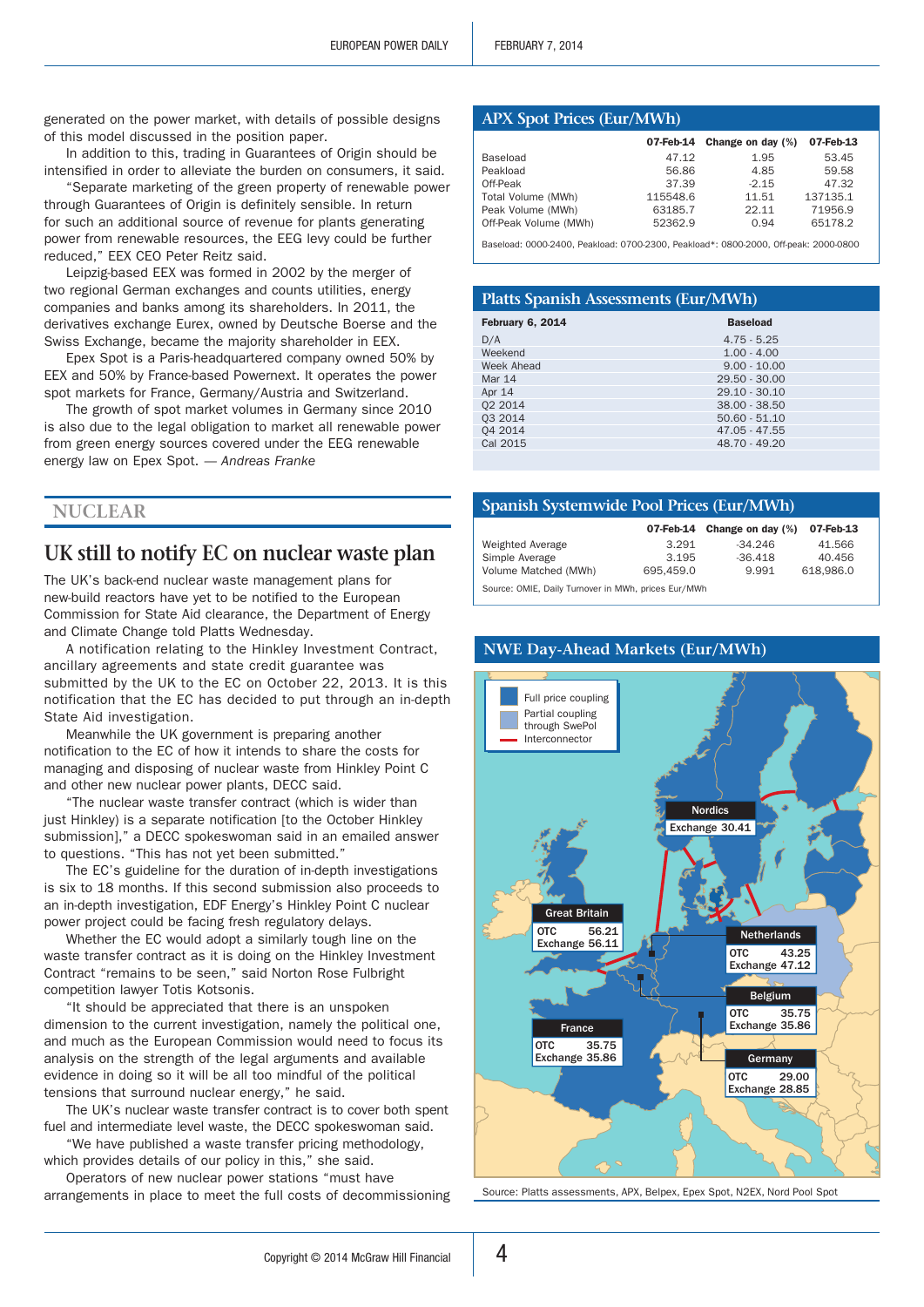generated on the power market, with details of possible designs of this model discussed in the position paper.

In addition to this, trading in Guarantees of Origin should be intensified in order to alleviate the burden on consumers, it said.

"Separate marketing of the green property of renewable power through Guarantees of Origin is definitely sensible. In return for such an additional source of revenue for plants generating power from renewable resources, the EEG levy could be further reduced," EEX CEO Peter Reitz said.

Leipzig-based EEX was formed in 2002 by the merger of two regional German exchanges and counts utilities, energy companies and banks among its shareholders. In 2011, the derivatives exchange Eurex, owned by Deutsche Boerse and the Swiss Exchange, became the majority shareholder in EEX.

Epex Spot is a Paris-headquartered company owned 50% by EEX and 50% by France-based Powernext. It operates the power spot markets for France, Germany/Austria and Switzerland.

The growth of spot market volumes in Germany since 2010 is also due to the legal obligation to market all renewable power from green energy sources covered under the EEG renewable energy law on Epex Spot. *— Andreas Franke*

## **Nuclear**

# **UK still to notify EC on nuclear waste plan**

The UK's back-end nuclear waste management plans for new-build reactors have yet to be notified to the European Commission for State Aid clearance, the Department of Energy and Climate Change told Platts Wednesday.

A notification relating to the Hinkley Investment Contract, ancillary agreements and state credit guarantee was submitted by the UK to the EC on October 22, 2013. It is this notification that the EC has decided to put through an in-depth State Aid investigation.

Meanwhile the UK government is preparing another notification to the EC of how it intends to share the costs for managing and disposing of nuclear waste from Hinkley Point C and other new nuclear power plants, DECC said.

"The nuclear waste transfer contract (which is wider than just Hinkley) is a separate notification [to the October Hinkley submission]," a DECC spokeswoman said in an emailed answer to questions. "This has not yet been submitted."

The EC's guideline for the duration of in-depth investigations is six to 18 months. If this second submission also proceeds to an in-depth investigation, EDF Energy's Hinkley Point C nuclear power project could be facing fresh regulatory delays.

Whether the EC would adopt a similarly tough line on the waste transfer contract as it is doing on the Hinkley Investment Contract "remains to be seen," said Norton Rose Fulbright competition lawyer Totis Kotsonis.

"It should be appreciated that there is an unspoken dimension to the current investigation, namely the political one, and much as the European Commission would need to focus its analysis on the strength of the legal arguments and available evidence in doing so it will be all too mindful of the political tensions that surround nuclear energy," he said.

The UK's nuclear waste transfer contract is to cover both spent fuel and intermediate level waste, the DECC spokeswoman said.

"We have published a waste transfer pricing methodology, which provides details of our policy in this," she said.

Operators of new nuclear power stations "must have arrangements in place to meet the full costs of decommissioning Source: Platts assessments, APX, Belpex, Epex Spot, N2EX, Nord Pool Spot

#### **APX Spot Prices (Eur/MWh)**

|                       | 07-Feb-14 | Change on day (%) | 07-Feb-13 |
|-----------------------|-----------|-------------------|-----------|
| Baseload              | 47.12     | 1.95              | 53.45     |
| Peakload              | 56.86     | 4.85              | 59.58     |
| Off-Peak              | 37.39     | $-2.15$           | 47.32     |
| Total Volume (MWh)    | 115548.6  | 11.51             | 137135.1  |
| Peak Volume (MWh)     | 63185.7   | 22.11             | 71956.9   |
| Off-Peak Volume (MWh) | 52362.9   | 0.94              | 65178.2   |

Baseload: 0000-2400, Peakload: 0700-2300, Peakload\*: 0800-2000, Off-peak: 2000-0800

#### **Platts Spanish Assessments (Eur/MWh)** February 6, 2014 **Baseload** D/A 4.75 - 5.25<br>Weekend 1.00 - 4.00 Weekend 1.00 - 4.00<br>Week Ahead 9.00 - 10.0 Week Ahead 9.00 - 10.00<br>Mar 14 29.50 - 30.00  $29.50 - 30.00$ Apr 14 29.10 - 30.10<br>02 2014 38.00 - 38.50 Q2 2014 38.00 - 38.50<br>
Q3 2014 50.60 - 51.10 Q3 2014 50.60 - 51.10<br>
Q4 2014 47.05 - 47.55  $47.05 - 47.55$ Cal 2015 48.70 - 49.20

#### **Spanish Systemwide Pool Prices (Eur/MWh)**

|                                                     |           | 07-Feb-14 Change on day (%) | 07-Feb-13 |
|-----------------------------------------------------|-----------|-----------------------------|-----------|
| Weighted Average                                    | 3.291     | $-34.246$                   | 41.566    |
| Simple Average                                      | 3.195     | $-36.418$                   | 40.456    |
| Volume Matched (MWh)                                | 695.459.0 | 9.991                       | 618.986.0 |
| Source: OMIE, Daily Turnover in MWh, prices Eur/MWh |           |                             |           |



# **NWE Day-Ahead Markets (Eur/MWh)**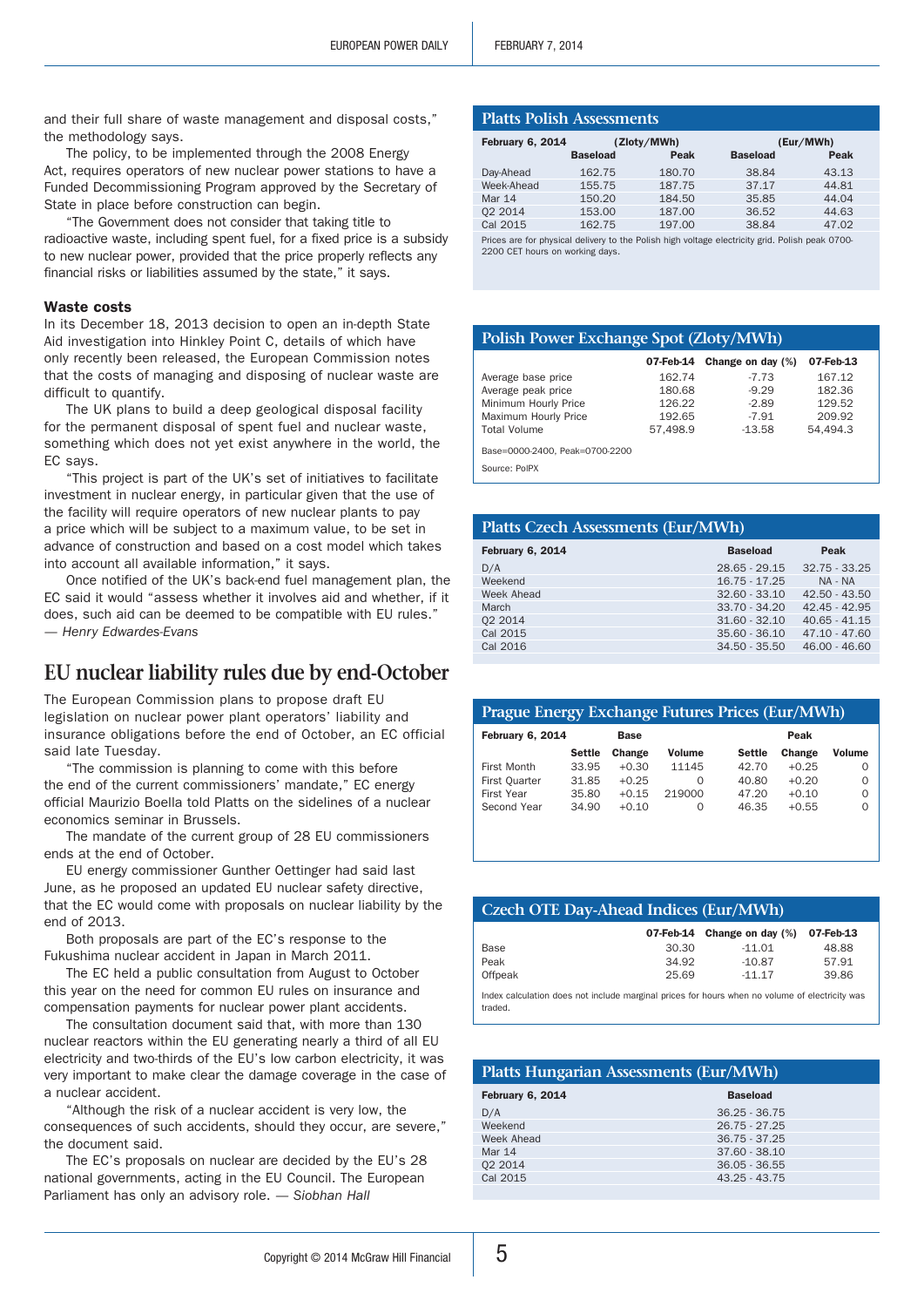and their full share of waste management and disposal costs," the methodology says.

The policy, to be implemented through the 2008 Energy Act, requires operators of new nuclear power stations to have a Funded Decommissioning Program approved by the Secretary of State in place before construction can begin.

"The Government does not consider that taking title to radioactive waste, including spent fuel, for a fixed price is a subsidy to new nuclear power, provided that the price properly reflects any financial risks or liabilities assumed by the state," it says.

#### Waste costs

In its December 18, 2013 decision to open an in-depth State Aid investigation into Hinkley Point C, details of which have only recently been released, the European Commission notes that the costs of managing and disposing of nuclear waste are difficult to quantify.

The UK plans to build a deep geological disposal facility for the permanent disposal of spent fuel and nuclear waste, something which does not yet exist anywhere in the world, the EC says.

"This project is part of the UK's set of initiatives to facilitate investment in nuclear energy, in particular given that the use of the facility will require operators of new nuclear plants to pay a price which will be subject to a maximum value, to be set in advance of construction and based on a cost model which takes into account all available information," it says.

Once notified of the UK's back-end fuel management plan, the EC said it would "assess whether it involves aid and whether, if it does, such aid can be deemed to be compatible with EU rules." *— Henry Edwardes-Evans*

# **EU nuclear liability rules due by end-October**

The European Commission plans to propose draft EU legislation on nuclear power plant operators' liability and insurance obligations before the end of October, an EC official said late Tuesday.

"The commission is planning to come with this before the end of the current commissioners' mandate," EC energy official Maurizio Boella told Platts on the sidelines of a nuclear economics seminar in Brussels.

The mandate of the current group of 28 EU commissioners ends at the end of October.

EU energy commissioner Gunther Oettinger had said last June, as he proposed an updated EU nuclear safety directive, that the EC would come with proposals on nuclear liability by the end of 2013.

Both proposals are part of the EC's response to the Fukushima nuclear accident in Japan in March 2011.

The EC held a public consultation from August to October this year on the need for common EU rules on insurance and compensation payments for nuclear power plant accidents.

The consultation document said that, with more than 130 nuclear reactors within the EU generating nearly a third of all EU electricity and two-thirds of the EU's low carbon electricity, it was very important to make clear the damage coverage in the case of a nuclear accident.

"Although the risk of a nuclear accident is very low, the consequences of such accidents, should they occur, are severe," the document said.

The EC's proposals on nuclear are decided by the EU's 28 national governments, acting in the EU Council. The European Parliament has only an advisory role. *— Siobhan Hall*

| <b>Platts Polish Assessments</b>                                                                                                   |                 |        |                 |           |
|------------------------------------------------------------------------------------------------------------------------------------|-----------------|--------|-----------------|-----------|
| February 6, 2014<br>(Zloty/MWh)                                                                                                    |                 |        |                 | (Eur/MWh) |
|                                                                                                                                    | <b>Baseload</b> | Peak   | <b>Baseload</b> | Peak      |
| Day-Ahead                                                                                                                          | 162.75          | 180.70 | 38.84           | 43.13     |
| Week-Ahead                                                                                                                         | 155.75          | 187.75 | 37.17           | 44.81     |
| Mar 14                                                                                                                             | 150.20          | 184.50 | 35.85           | 44.04     |
| 02 2014                                                                                                                            | 153.00          | 187.00 | 36.52           | 44.63     |
| Cal 2015                                                                                                                           | 162.75          | 197.00 | 38.84           | 47.02     |
| Prices are for physical delivery to the Polish high voltage electricity grid. Polish peak 0700-<br>2200 CET hours on working days. |                 |        |                 |           |

## **Polish Power Exchange Spot (Zloty/MWh)**

|                                | 07-Feb-14 | Change on day (%) | 07-Feb-13 |
|--------------------------------|-----------|-------------------|-----------|
| Average base price             | 162.74    | $-7.73$           | 167.12    |
| Average peak price             | 180.68    | $-9.29$           | 182.36    |
| Minimum Hourly Price           | 126.22    | $-2.89$           | 129.52    |
| Maximum Hourly Price           | 192.65    | $-7.91$           | 209.92    |
| <b>Total Volume</b>            | 57.498.9  | $-13.58$          | 54.494.3  |
| Base=0000-2400, Peak=0700-2200 |           |                   |           |
| Source: PolPX                  |           |                   |           |

| <b>Platts Czech Assessments (Eur/MWh)</b> |                 |                 |  |  |
|-------------------------------------------|-----------------|-----------------|--|--|
| <b>February 6, 2014</b>                   | <b>Baseload</b> | Peak            |  |  |
| D/A                                       | $28.65 - 29.15$ | $32.75 - 33.25$ |  |  |
| Weekend                                   | $16.75 - 17.25$ | NA - NA         |  |  |
| Week Ahead                                | $32.60 - 33.10$ | $42.50 - 43.50$ |  |  |
| March                                     | $33.70 - 34.20$ | $42.45 - 42.95$ |  |  |
| 02 2014                                   | $31.60 - 32.10$ | $40.65 - 41.15$ |  |  |
| Cal 2015                                  | $35.60 - 36.10$ | $47.10 - 47.60$ |  |  |
| Cal 2016                                  | $34.50 - 35.50$ | $46.00 - 46.60$ |  |  |
|                                           |                 |                 |  |  |

| <b>Prague Energy Exchange Futures Prices (Eur/MWh)</b> |               |         |               |               |         |               |
|--------------------------------------------------------|---------------|---------|---------------|---------------|---------|---------------|
| <b>February 6, 2014</b><br>Peak<br><b>Base</b>         |               |         |               |               |         |               |
|                                                        | <b>Settle</b> | Change  | <b>Volume</b> | <b>Settle</b> | Change  | <b>Volume</b> |
| First Month                                            | 33.95         | $+0.30$ | 11145         | 42.70         | $+0.25$ | Ο             |
| First Quarter                                          | 31.85         | $+0.25$ | 0             | 40.80         | $+0.20$ | 0             |
| First Year                                             | 35.80         | $+0.15$ | 219000        | 47.20         | $+0.10$ | 0             |
| Second Year                                            | 34.90         | $+0.10$ | 0             | 46.35         | $+0.55$ | $\Omega$      |
|                                                        |               |         |               |               |         |               |

| Czech OTE Day-Ahead Indices (Eur/MWh) |  |
|---------------------------------------|--|

|         |       | 07-Feb-14 Change on day (%) 07-Feb-13 |       |
|---------|-------|---------------------------------------|-------|
| Base    | 30.30 | $-11.01$                              | 48.88 |
| Peak    | 34.92 | $-10.87$                              | 57.91 |
| Offpeak | 25.69 | $-11.17$                              | 39.86 |

Index calculation does not include marginal prices for hours when no volume of electricity was traded.

#### **Platts Hungarian Assessments (Eur/MWh)**

| February 6, 2014 | <b>Baseload</b> |
|------------------|-----------------|
| D/A              | $36.25 - 36.75$ |
| Weekend          | $26.75 - 27.25$ |
| Week Ahead       | $36.75 - 37.25$ |
| Mar 14           | $37.60 - 38.10$ |
| 02 2014          | $36.05 - 36.55$ |
| Cal 2015         | $43.25 - 43.75$ |
|                  |                 |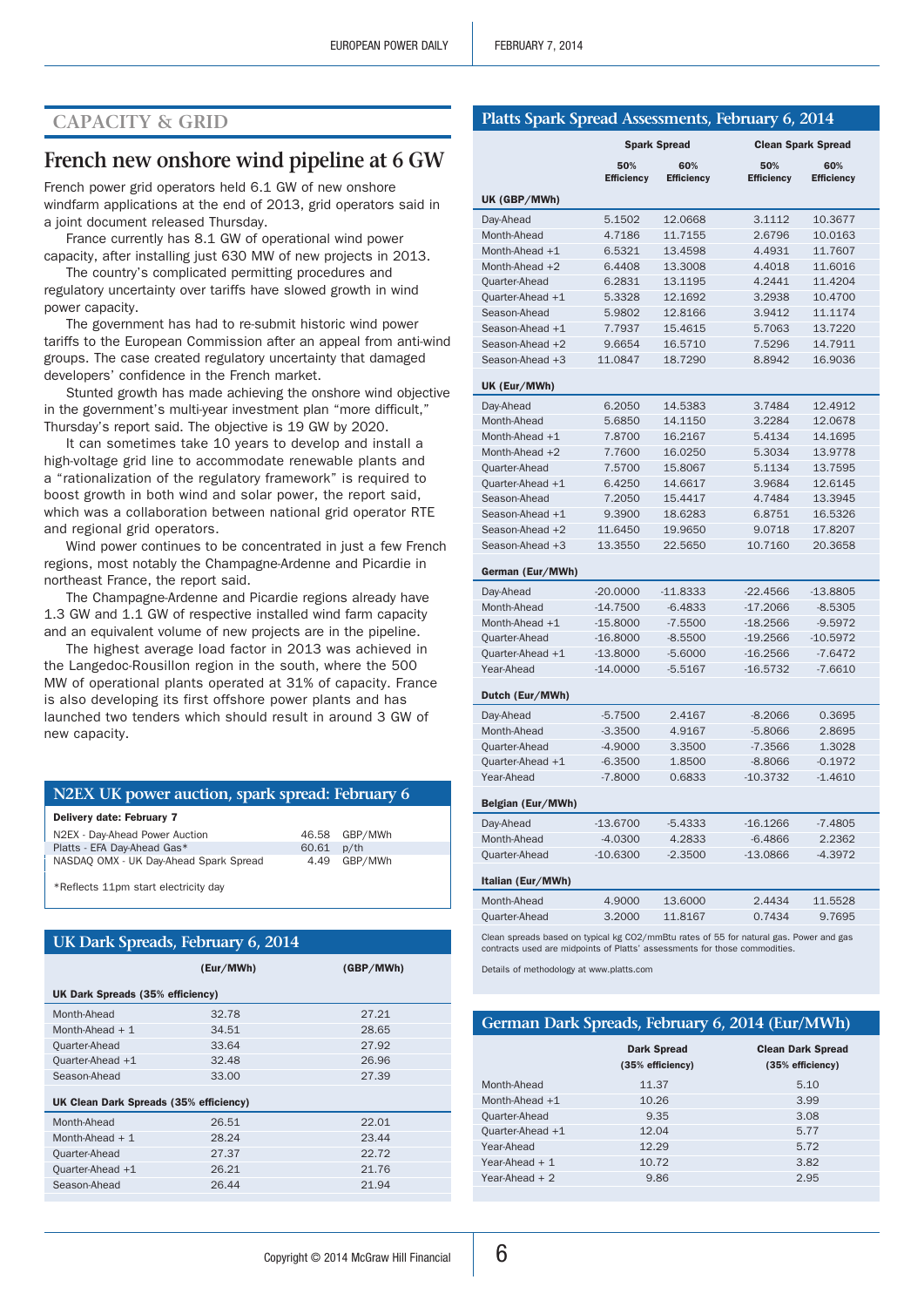## **Capacity & Grid**

# **French new onshore wind pipeline at 6 GW**

French power grid operators held 6.1 GW of new onshore windfarm applications at the end of 2013, grid operators said in a joint document released Thursday.

France currently has 8.1 GW of operational wind power capacity, after installing just 630 MW of new projects in 2013.

The country's complicated permitting procedures and regulatory uncertainty over tariffs have slowed growth in wind power capacity.

The government has had to re-submit historic wind power tariffs to the European Commission after an appeal from anti-wind groups. The case created regulatory uncertainty that damaged developers' confidence in the French market.

Stunted growth has made achieving the onshore wind objective in the government's multi-year investment plan "more difficult," Thursday's report said. The objective is 19 GW by 2020.

It can sometimes take 10 years to develop and install a high-voltage grid line to accommodate renewable plants and a "rationalization of the regulatory framework" is required to boost growth in both wind and solar power, the report said, which was a collaboration between national grid operator RTE and regional grid operators.

Wind power continues to be concentrated in just a few French regions, most notably the Champagne-Ardenne and Picardie in northeast France, the report said.

The Champagne-Ardenne and Picardie regions already have 1.3 GW and 1.1 GW of respective installed wind farm capacity and an equivalent volume of new projects are in the pipeline.

The highest average load factor in 2013 was achieved in the Langedoc-Rousillon region in the south, where the 500 MW of operational plants operated at 31% of capacity. France is also developing its first offshore power plants and has launched two tenders which should result in around 3 GW of new capacity.

|  | N2EX UK power auction, spark spread: February 6 |  |  |  |
|--|-------------------------------------------------|--|--|--|
|--|-------------------------------------------------|--|--|--|

| Delivery date: February 7              |       |               |  |
|----------------------------------------|-------|---------------|--|
| N2EX - Day-Ahead Power Auction         |       | 46.58 GBP/MWh |  |
| Platts - EFA Dav-Ahead Gas*            | 60.61 | $p$ /th       |  |
| NASDAQ OMX - UK Day-Ahead Spark Spread |       | 4.49 GBP/MWh  |  |
|                                        |       |               |  |

\*Reflects 11pm start electricity day

| UK Dark Spreads, February 6, 2014 |  |
|-----------------------------------|--|
|                                   |  |

|                                        | (Eur/MWh) | (GBP/MWh) |  |  |  |  |
|----------------------------------------|-----------|-----------|--|--|--|--|
| UK Dark Spreads (35% efficiency)       |           |           |  |  |  |  |
| Month-Ahead                            | 32.78     | 27.21     |  |  |  |  |
| Month-Ahead $+1$                       | 34.51     | 28.65     |  |  |  |  |
| Quarter-Ahead                          | 33.64     | 27.92     |  |  |  |  |
| Quarter-Ahead +1                       | 32.48     | 26.96     |  |  |  |  |
| Season-Ahead                           | 33.00     | 27.39     |  |  |  |  |
| UK Clean Dark Spreads (35% efficiency) |           |           |  |  |  |  |
| Month-Ahead                            | 26.51     | 22.01     |  |  |  |  |
| Month-Ahead $+1$                       | 28.24     | 23.44     |  |  |  |  |
| Quarter-Ahead                          | 27.37     | 22.72     |  |  |  |  |
| Quarter-Ahead +1                       | 26.21     | 21.76     |  |  |  |  |
| Season-Ahead                           | 26.44     | 21.94     |  |  |  |  |
|                                        |           |           |  |  |  |  |

| Platts Spark Spread Assessments, February 6, 2014 |  |  |  |  |  |
|---------------------------------------------------|--|--|--|--|--|
|---------------------------------------------------|--|--|--|--|--|

|                   |                          | <b>Spark Spread</b>      |                          | <b>Clean Spark Spread</b> |  |  |  |
|-------------------|--------------------------|--------------------------|--------------------------|---------------------------|--|--|--|
|                   | 50%<br><b>Efficiency</b> | 60%<br><b>Efficiency</b> | 50%<br><b>Efficiency</b> | 60%<br><b>Efficiency</b>  |  |  |  |
| UK (GBP/MWh)      |                          |                          |                          |                           |  |  |  |
| Day-Ahead         | 5.1502                   | 12.0668                  | 3.1112                   | 10.3677                   |  |  |  |
| Month-Ahead       | 4.7186                   | 11.7155                  | 2.6796                   | 10.0163                   |  |  |  |
| Month-Ahead $+1$  | 6.5321                   | 13.4598                  | 4.4931                   | 11.7607                   |  |  |  |
| Month-Ahead $+2$  | 6.4408                   | 13.3008                  | 4.4018                   | 11.6016                   |  |  |  |
| Quarter-Ahead     | 6.2831                   | 13.1195                  | 4.2441                   | 11.4204                   |  |  |  |
| Quarter-Ahead +1  | 5.3328                   | 12.1692                  | 3.2938                   | 10.4700                   |  |  |  |
| Season-Ahead      | 5.9802                   | 12.8166                  | 3.9412                   | 11.1174                   |  |  |  |
| Season-Ahead +1   | 7.7937                   | 15.4615                  | 5.7063                   | 13.7220                   |  |  |  |
| Season-Ahead +2   | 9.6654                   | 16.5710                  | 7.5296                   | 14.7911                   |  |  |  |
| Season-Ahead +3   | 11.0847                  | 18.7290                  | 8.8942                   | 16.9036                   |  |  |  |
| UK (Eur/MWh)      |                          |                          |                          |                           |  |  |  |
| Day-Ahead         | 6.2050                   | 14.5383                  | 3.7484                   | 12.4912                   |  |  |  |
| Month-Ahead       | 5.6850                   | 14.1150                  | 3.2284                   | 12.0678                   |  |  |  |
| Month-Ahead +1    | 7.8700                   | 16.2167                  | 5.4134                   | 14.1695                   |  |  |  |
| Month-Ahead +2    | 7.7600                   | 16.0250                  | 5.3034                   | 13.9778                   |  |  |  |
| Quarter-Ahead     | 7.5700                   | 15.8067                  | 5.1134                   | 13.7595                   |  |  |  |
| Ouarter-Ahead +1  | 6.4250                   | 14.6617                  | 3.9684                   | 12.6145                   |  |  |  |
| Season-Ahead      | 7.2050                   | 15.4417                  | 4.7484                   | 13.3945                   |  |  |  |
| Season-Ahead +1   | 9.3900                   | 18.6283                  | 6.8751                   | 16.5326                   |  |  |  |
| Season-Ahead +2   | 11.6450                  | 19.9650                  | 9.0718                   | 17.8207                   |  |  |  |
| Season-Ahead +3   | 13.3550                  | 22.5650                  | 10.7160                  | 20.3658                   |  |  |  |
| German (Eur/MWh)  |                          |                          |                          |                           |  |  |  |
| Day-Ahead         | $-20.0000$               | $-11.8333$               | $-22.4566$               | $-13.8805$                |  |  |  |
| Month-Ahead       | $-14.7500$               | $-6.4833$                | $-17.2066$               | $-8.5305$                 |  |  |  |
| Month-Ahead +1    | $-15.8000$               | $-7.5500$                | $-18.2566$               | $-9.5972$                 |  |  |  |
| Quarter-Ahead     | $-16.8000$               | $-8.5500$                | $-19.2566$               | $-10.5972$                |  |  |  |
| Quarter-Ahead +1  | $-13.8000$               | $-5.6000$                | $-16.2566$               | $-7.6472$                 |  |  |  |
| Year-Ahead        | $-14.0000$               | $-5.5167$                | $-16.5732$               | $-7.6610$                 |  |  |  |
| Dutch (Eur/MWh)   |                          |                          |                          |                           |  |  |  |
| Day-Ahead         | $-5.7500$                | 2.4167                   | $-8.2066$                | 0.3695                    |  |  |  |
| Month-Ahead       | $-3.3500$                | 4.9167                   | $-5.8066$                | 2.8695                    |  |  |  |
| Quarter-Ahead     | $-4.9000$                | 3.3500                   | $-7.3566$                | 1.3028                    |  |  |  |
| Ouarter-Ahead +1  | $-6.3500$                | 1.8500                   | $-8.8066$                | $-0.1972$                 |  |  |  |
| Year-Ahead        | $-7.8000$                | 0.6833                   | $-10.3732$               | $-1.4610$                 |  |  |  |
| Belgian (Eur/MWh) |                          |                          |                          |                           |  |  |  |
| Day-Ahead         | -13.6700                 | $-5.4333$                | $-16.1266$               | $-7.4805$                 |  |  |  |
| Month-Ahead       | $-4.0300$                | 4.2833                   | $-6.4866$                | 2.2362                    |  |  |  |
| Quarter-Ahead     | $-10.6300$               | $-2.3500$                | $-13.0866$               | $-4.3972$                 |  |  |  |
| Italian (Eur/MWh) |                          |                          |                          |                           |  |  |  |
| Month-Ahead       | 4.9000                   | 13.6000                  | 2.4434                   | 11.5528                   |  |  |  |
| Quarter-Ahead     | 3.2000                   | 11.8167                  | 0.7434                   | 9.7695                    |  |  |  |
|                   |                          |                          |                          |                           |  |  |  |

Clean spreads based on typical kg CO2/mmBtu rates of 55 for natural gas. Power and gas contracts used are midpoints of Platts' assessments for those commodities.

Details of methodology at www.platts.com

#### **German Dark Spreads, February 6, 2014 (Eur/MWh)**

|                  | <b>Dark Spread</b><br>(35% efficiency) | <b>Clean Dark Spread</b><br>(35% efficiency) |
|------------------|----------------------------------------|----------------------------------------------|
| Month-Ahead      | 11.37                                  | 5.10                                         |
| Month-Ahead $+1$ | 10.26                                  | 3.99                                         |
| Quarter-Ahead    | 9.35                                   | 3.08                                         |
| Quarter-Ahead +1 | 12.04                                  | 5.77                                         |
| Year-Ahead       | 12.29                                  | 5.72                                         |
| Year-Ahead $+1$  | 10.72                                  | 3.82                                         |
| Year-Ahead $+2$  | 9.86                                   | 2.95                                         |
|                  |                                        |                                              |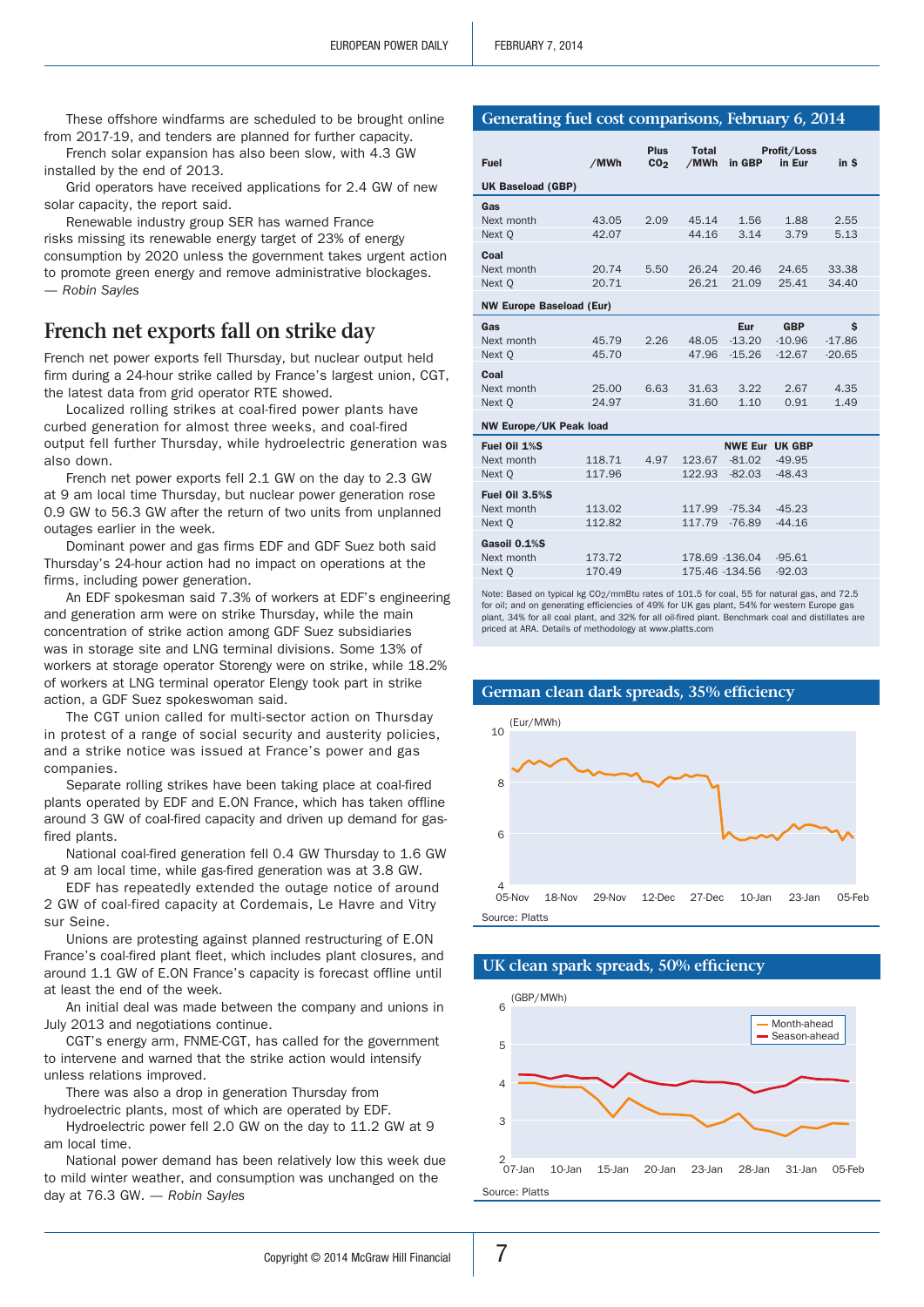These offshore windfarms are scheduled to be brought online from 2017-19, and tenders are planned for further capacity.

French solar expansion has also been slow, with 4.3 GW installed by the end of 2013.

Grid operators have received applications for 2.4 GW of new solar capacity, the report said.

Renewable industry group SER has warned France risks missing its renewable energy target of 23% of energy consumption by 2020 unless the government takes urgent action to promote green energy and remove administrative blockages. *— Robin Sayles*

# **French net exports fall on strike day**

French net power exports fell Thursday, but nuclear output held firm during a 24-hour strike called by France's largest union, CGT, the latest data from grid operator RTE showed.

Localized rolling strikes at coal-fired power plants have curbed generation for almost three weeks, and coal-fired output fell further Thursday, while hydroelectric generation was also down.

French net power exports fell 2.1 GW on the day to 2.3 GW at 9 am local time Thursday, but nuclear power generation rose 0.9 GW to 56.3 GW after the return of two units from unplanned outages earlier in the week.

Dominant power and gas firms EDF and GDF Suez both said Thursday's 24-hour action had no impact on operations at the firms, including power generation.

An EDF spokesman said 7.3% of workers at EDF's engineering and generation arm were on strike Thursday, while the main concentration of strike action among GDF Suez subsidiaries was in storage site and LNG terminal divisions. Some 13% of workers at storage operator Storengy were on strike, while 18.2% of workers at LNG terminal operator Elengy took part in strike action, a GDF Suez spokeswoman said.

The CGT union called for multi-sector action on Thursday in protest of a range of social security and austerity policies, and a strike notice was issued at France's power and gas companies.

Separate rolling strikes have been taking place at coal-fired plants operated by EDF and E.ON France, which has taken offline around 3 GW of coal-fired capacity and driven up demand for gasfired plants.

National coal-fired generation fell 0.4 GW Thursday to 1.6 GW at 9 am local time, while gas-fired generation was at 3.8 GW.

EDF has repeatedly extended the outage notice of around 2 GW of coal-fired capacity at Cordemais, Le Havre and Vitry sur Seine.

Unions are protesting against planned restructuring of E.ON France's coal-fired plant fleet, which includes plant closures, and around 1.1 GW of E.ON France's capacity is forecast offline until at least the end of the week.

An initial deal was made between the company and unions in July 2013 and negotiations continue.

CGT's energy arm, FNME-CGT, has called for the government to intervene and warned that the strike action would intensify unless relations improved.

There was also a drop in generation Thursday from hydroelectric plants, most of which are operated by EDF.

Hydroelectric power fell 2.0 GW on the day to 11.2 GW at 9 am local time.

National power demand has been relatively low this week due to mild winter weather, and consumption was unchanged on the day at 76.3 GW. *— Robin Sayles*

#### **Generating fuel cost comparisons, February 6, 2014**

|                                 |        | <b>Plus</b>     | <b>Total</b>   |                       | Profit/Loss |          |
|---------------------------------|--------|-----------------|----------------|-----------------------|-------------|----------|
| <b>Fuel</b>                     | /MWh   | CO <sub>2</sub> | /MWh           | in GBP                | in Eur      | in \$    |
| <b>UK Baseload (GBP)</b>        |        |                 |                |                       |             |          |
| Gas                             |        |                 |                |                       |             |          |
| Next month                      | 43.05  | 2.09            | 45.14          | 1.56                  | 1.88        | 2.55     |
| Next Q                          | 42.07  |                 | 44.16          | 3.14                  | 3.79        | 5.13     |
| Coal                            |        |                 |                |                       |             |          |
| Next month                      | 20.74  | 5.50            | 26.24          | 20.46                 | 24.65       | 33.38    |
| Next Q                          | 20.71  |                 | 26.21          | 21.09                 | 25.41       | 34.40    |
| <b>NW Europe Baseload (Eur)</b> |        |                 |                |                       |             |          |
| Gas                             |        |                 |                | Eur                   | <b>GBP</b>  | \$       |
| Next month                      | 45.79  | 2.26            | 48.05          | $-13.20$              | $-10.96$    | $-17.86$ |
| Next Q                          | 45.70  |                 | 47.96          | $-15.26$              | $-12.67$    | $-20.65$ |
| Coal                            |        |                 |                |                       |             |          |
| Next month                      | 25.00  | 6.63            | 31.63          | 3.22                  | 2.67        | 4.35     |
| Next Q                          | 24.97  |                 | 31.60          | 1.10                  | 0.91        | 1.49     |
| <b>NW Europe/UK Peak load</b>   |        |                 |                |                       |             |          |
| Fuel Oil 1%S                    |        |                 |                | <b>NWE Eur UK GBP</b> |             |          |
| Next month                      | 118.71 | 4.97            | 123.67         | $-81.02$              | $-49.95$    |          |
| Next Q                          | 117.96 |                 | 122.93         | $-82.03$              | $-48.43$    |          |
| <b>Fuel Oil 3.5%S</b>           |        |                 |                |                       |             |          |
| Next month                      | 113.02 |                 | 117.99         | $-75.34$              | $-45.23$    |          |
| Next Q                          | 112.82 |                 | 117.79         | $-76.89$              | $-44.16$    |          |
| Gasoil 0.1%S                    |        |                 |                |                       |             |          |
| Next month                      | 173.72 |                 | 178.69 -136.04 |                       | $-95.61$    |          |
| Next Q                          | 170.49 |                 | 175.46 -134.56 |                       | $-92.03$    |          |

Note: Based on typical kg CO<sub>2</sub>/mmBtu rates of 101.5 for coal, 55 for natural gas, and 72.5 for oil; and on generating efficiencies of 49% for UK gas plant, 54% for western Europe gas plant, 34% for all coal plant, and 32% for all oil-fired plant. Benchmark coal and distillates are priced at ARA. Details of methodology at www.platts.com



## **UK clean spark spreads, 50% efficiency**

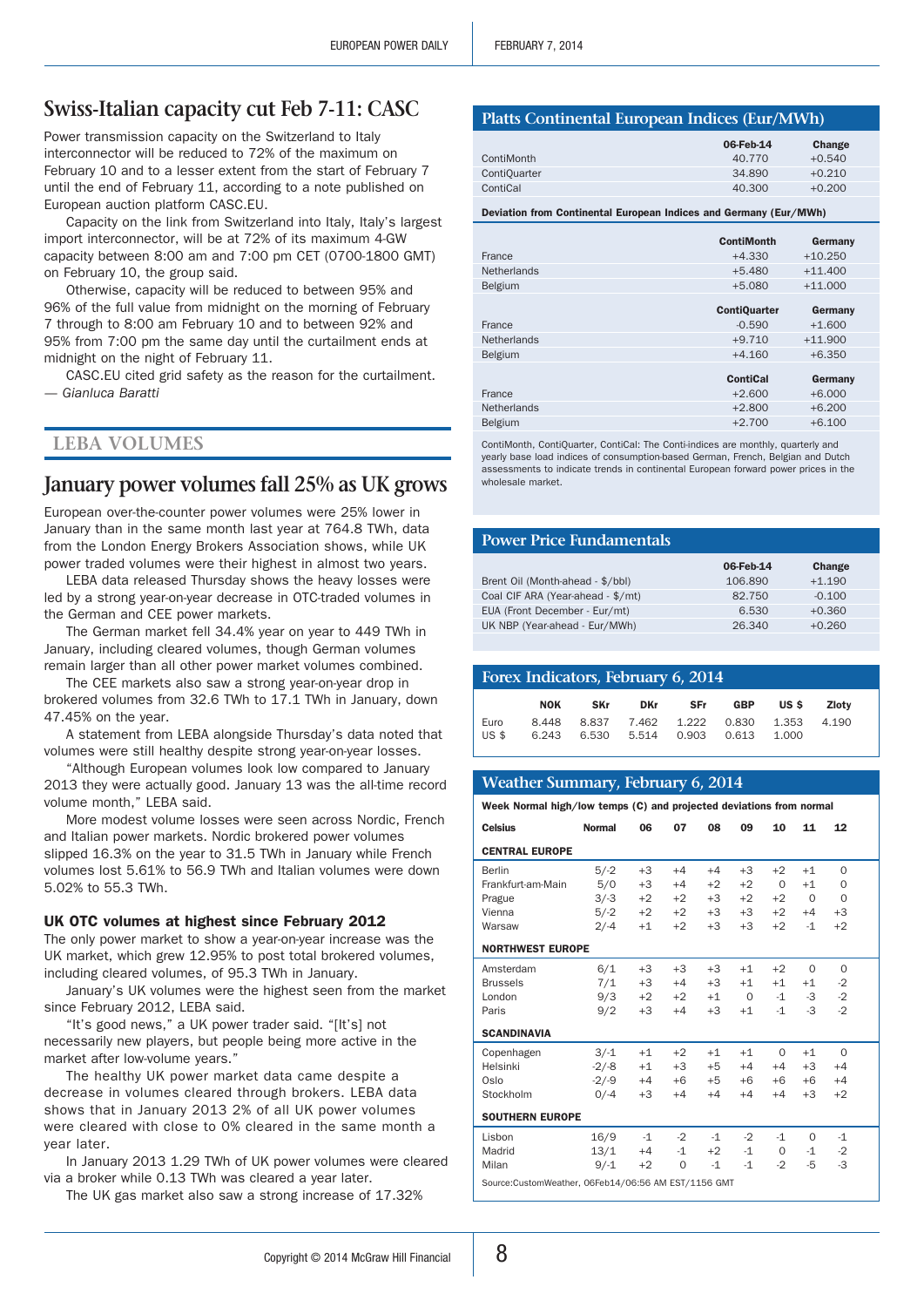# **Swiss-Italian capacity cut Feb 7-11: CASC**

Power transmission capacity on the Switzerland to Italy interconnector will be reduced to 72% of the maximum on February 10 and to a lesser extent from the start of February 7 until the end of February 11, according to a note published on European auction platform CASC.EU.

Capacity on the link from Switzerland into Italy, Italy's largest import interconnector, will be at 72% of its maximum 4-GW capacity between 8:00 am and 7:00 pm CET (0700-1800 GMT) on February 10, the group said.

Otherwise, capacity will be reduced to between 95% and 96% of the full value from midnight on the morning of February 7 through to 8:00 am February 10 and to between 92% and 95% from 7:00 pm the same day until the curtailment ends at midnight on the night of February 11.

CASC.EU cited grid safety as the reason for the curtailment. *— Gianluca Baratti*

## **LEBA Volumes**

# **January power volumes fall 25% as UK grows**

European over-the-counter power volumes were 25% lower in January than in the same month last year at 764.8 TWh, data from the London Energy Brokers Association shows, while UK power traded volumes were their highest in almost two years.

LEBA data released Thursday shows the heavy losses were led by a strong year-on-year decrease in OTC-traded volumes in the German and CEE power markets.

The German market fell 34.4% year on year to 449 TWh in January, including cleared volumes, though German volumes remain larger than all other power market volumes combined.

The CEE markets also saw a strong year-on-year drop in brokered volumes from 32.6 TWh to 17.1 TWh in January, down 47.45% on the year.

A statement from LEBA alongside Thursday's data noted that volumes were still healthy despite strong year-on-year losses.

"Although European volumes look low compared to January 2013 they were actually good. January 13 was the all-time record volume month," LEBA said.

More modest volume losses were seen across Nordic, French and Italian power markets. Nordic brokered power volumes slipped 16.3% on the year to 31.5 TWh in January while French volumes lost 5.61% to 56.9 TWh and Italian volumes were down 5.02% to 55.3 TWh.

## UK OTC volumes at highest since February 2012

The only power market to show a year-on-year increase was the UK market, which grew 12.95% to post total brokered volumes, including cleared volumes, of 95.3 TWh in January.

January's UK volumes were the highest seen from the market since February 2012, LEBA said.

"It's good news," a UK power trader said. "[It's] not necessarily new players, but people being more active in the market after low-volume years."

The healthy UK power market data came despite a decrease in volumes cleared through brokers. LEBA data shows that in January 2013 2% of all UK power volumes were cleared with close to 0% cleared in the same month a year later.

In January 2013 1.29 TWh of UK power volumes were cleared via a broker while 0.13 TWh was cleared a year later.

The UK gas market also saw a strong increase of 17.32%

# **Platts Continental European Indices (Eur/MWh)**

|                     | 06-Feb-14 | Change   |
|---------------------|-----------|----------|
| ContiMonth          | 40.770    | $+0.540$ |
| <b>ContiOuarter</b> | 34.890    | $+0.210$ |
| ContiCal            | 40.300    | $+0.200$ |

Deviation from Continental European Indices and Germany (Eur/MWh)

|                    | <b>ContiMonth</b>   | Germany   |
|--------------------|---------------------|-----------|
| France             | $+4.330$            | $+10.250$ |
| <b>Netherlands</b> | $+5.480$            | $+11.400$ |
| <b>Belgium</b>     | $+5.080$            | $+11.000$ |
|                    |                     |           |
|                    | <b>ContiQuarter</b> | Germany   |
| France             | $-0.590$            | $+1.600$  |
| <b>Netherlands</b> | $+9.710$            | $+11.900$ |
| <b>Belgium</b>     | $+4.160$            | $+6.350$  |
|                    |                     |           |
|                    | <b>ContiCal</b>     | Germany   |
| France             | $+2.600$            | $+6.000$  |
| <b>Netherlands</b> | $+2.800$            | $+6.200$  |
| <b>Belgium</b>     | $+2.700$            | $+6.100$  |
|                    |                     |           |

ContiMonth, ContiQuarter, ContiCal: The Conti-indices are monthly, quarterly and yearly base load indices of consumption-based German, French, Belgian and Dutch assessments to indicate trends in continental European forward power prices in the wholesale market.

#### **Power Price Fundamentals**

|                                   | 06-Feb-14 | Change   |
|-----------------------------------|-----------|----------|
| Brent Oil (Month-ahead - \$/bbl)  | 106.890   | $+1.190$ |
| Coal CIF ARA (Year-ahead - \$/mt) | 82.750    | $-0.100$ |
| EUA (Front December - Eur/mt)     | 6.530     | $+0.360$ |
| UK NBP (Year-ahead - Eur/MWh)     | 26.340    | $+0.260$ |

| Forex Indicators, February 6, 2014 |                |            |             |                                  |       |                |       |  |
|------------------------------------|----------------|------------|-------------|----------------------------------|-------|----------------|-------|--|
|                                    | <b>NOK</b>     | <b>SKr</b> | <b>DKr</b>  | <b>SFr</b>                       | GBP   | US \$          | Zlotv |  |
| Euro<br><b>US \$</b>               | 8.448<br>6.243 |            | 6.530 5.514 | 8.837 7.462 1.222 0.830<br>0.903 | 0.613 | 1.353<br>1.000 | 4.190 |  |

#### **Weather Summary, February 6, 2014**

Week Normal high/low temps (C) and projected deviations from normal

| <b>Celsius</b>                                      | <b>Normal</b> | 06   | 07   | 08   | 09       | 10       | 11          | 12       |  |
|-----------------------------------------------------|---------------|------|------|------|----------|----------|-------------|----------|--|
| <b>CENTRAL EUROPE</b>                               |               |      |      |      |          |          |             |          |  |
| Berlin                                              | $5/-2$        | $+3$ | $+4$ | $+4$ | $+3$     | $+2$     | $+1$        | $\Omega$ |  |
| Frankfurt-am-Main                                   | 5/0           | $+3$ | $+4$ | $+2$ | $+2$     | $\Omega$ | $+1$        | $\Omega$ |  |
| Prague                                              | $3/-3$        | $+2$ | $+2$ | $+3$ | $+2$     | $+2$     | $\mathbf 0$ | $\Omega$ |  |
| Vienna                                              | $5/-2$        | $+2$ | $+2$ | $+3$ | $+3$     | $+2$     | $+4$        | $+3$     |  |
| Warsaw                                              | $2/-4$        | $+1$ | $+2$ | $+3$ | $+3$     | $+2$     | $-1$        | $+2$     |  |
| <b>NORTHWEST EUROPE</b>                             |               |      |      |      |          |          |             |          |  |
| Amsterdam                                           | 6/1           | $+3$ | $+3$ | $+3$ | $+1$     | $+2$     | $\Omega$    | $\Omega$ |  |
| <b>Brussels</b>                                     | 7/1           | $+3$ | $+4$ | $+3$ | $+1$     | $+1$     | $+1$        | $-2$     |  |
| London                                              | 9/3           | $+2$ | $+2$ | $+1$ | $\Omega$ | $-1$     | -3          | $-2$     |  |
| Paris                                               | 9/2           | $+3$ | $+4$ | $+3$ | $+1$     | $-1$     | $-3$        | $-2$     |  |
| <b>SCANDINAVIA</b>                                  |               |      |      |      |          |          |             |          |  |
| Copenhagen                                          | $3/-1$        | $+1$ | $+2$ | $+1$ | $+1$     | $\Omega$ | $+1$        | $\Omega$ |  |
| Helsinki                                            | $-2/-8$       | $+1$ | $+3$ | $+5$ | $+4$     | $+4$     | $+3$        | $+4$     |  |
| Oslo                                                | $-2/-9$       | $+4$ | $+6$ | $+5$ | $+6$     | $+6$     | $+6$        | $+4$     |  |
| Stockholm                                           | $0/-4$        | $+3$ | $+4$ | $+4$ | $+4$     | $+4$     | $+3$        | $+2$     |  |
| <b>SOUTHERN EUROPE</b>                              |               |      |      |      |          |          |             |          |  |
| Lisbon                                              | 16/9          | $-1$ | $-2$ | $-1$ | $-2$     | $-1$     | $\Omega$    | $-1$     |  |
| Madrid                                              | 13/1          | $+4$ | $-1$ | $+2$ | $-1$     | 0        | -1          | $-2$     |  |
| Milan                                               | $9/-1$        | $+2$ | 0    | $-1$ | $-1$     | $-2$     | -5          | -3       |  |
| Source:CustomWeather, 06Feb14/06:56 AM EST/1156 GMT |               |      |      |      |          |          |             |          |  |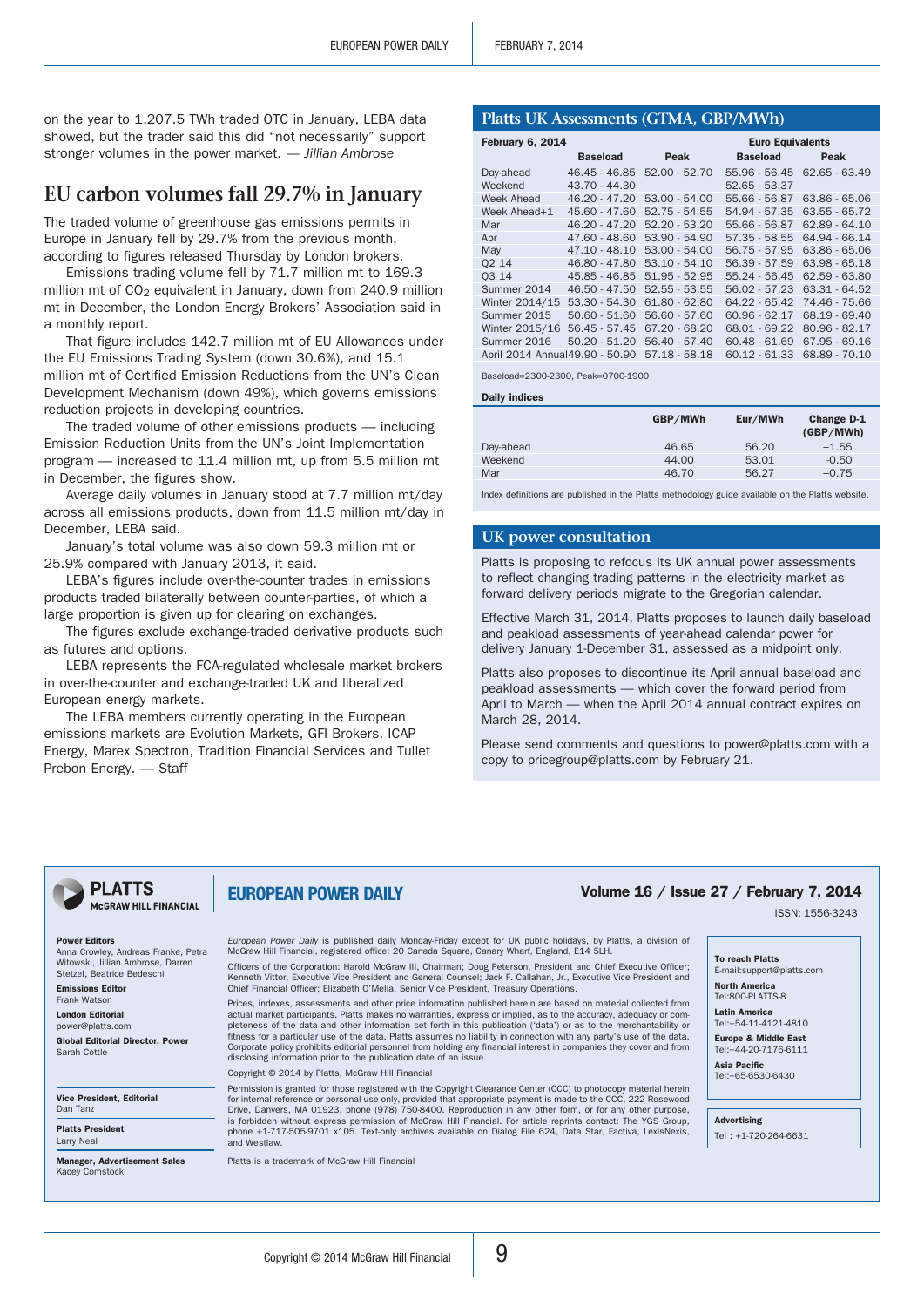on the year to 1,207.5 TWh traded OTC in January, LEBA data showed, but the trader said this did "not necessarily" support stronger volumes in the power market. *— Jillian Ambrose*

# **EU carbon volumes fall 29.7% in January**

The traded volume of greenhouse gas emissions permits in Europe in January fell by 29.7% from the previous month, according to figures released Thursday by London brokers.

Emissions trading volume fell by 71.7 million mt to 169.3 million mt of CO<sub>2</sub> equivalent in January, down from 240.9 million mt in December, the London Energy Brokers' Association said in a monthly report.

That figure includes 142.7 million mt of EU Allowances under the EU Emissions Trading System (down 30.6%), and 15.1 million mt of Certified Emission Reductions from the UN's Clean Development Mechanism (down 49%), which governs emissions reduction projects in developing countries.

The traded volume of other emissions products — including Emission Reduction Units from the UN's Joint Implementation program — increased to 11.4 million mt, up from 5.5 million mt in December, the figures show.

Average daily volumes in January stood at 7.7 million mt/day across all emissions products, down from 11.5 million mt/day in December, LEBA said.

January's total volume was also down 59.3 million mt or 25.9% compared with January 2013, it said.

LEBA's figures include over-the-counter trades in emissions products traded bilaterally between counter-parties, of which a large proportion is given up for clearing on exchanges.

The figures exclude exchange-traded derivative products such as futures and options.

LEBA represents the FCA-regulated wholesale market brokers in over-the-counter and exchange-traded UK and liberalized European energy markets.

The LEBA members currently operating in the European emissions markets are Evolution Markets, GFI Brokers, ICAP Energy, Marex Spectron, Tradition Financial Services and Tullet Prebon Energy. — Staff

## **Platts UK Assessments (GTMA, GBP/MWh)**

| February 6, 2014                |                 | <b>Euro Equivalents</b> |                 |                 |
|---------------------------------|-----------------|-------------------------|-----------------|-----------------|
|                                 | <b>Baseload</b> | Peak                    | <b>Baseload</b> | Peak            |
| Day-ahead                       | 46.45 - 46.85   | $52.00 - 52.70$         | 55.96 - 56.45   | $62.65 - 63.49$ |
| Weekend                         | 43.70 - 44.30   |                         | 52.65 - 53.37   |                 |
| Week Ahead                      | $46.20 - 47.20$ | $53.00 - 54.00$         | 55.66 - 56.87   | 63.86 - 65.06   |
| Week Ahead+1                    | $45.60 - 47.60$ | $52.75 - 54.55$         | 54.94 - 57.35   | 63.55 - 65.72   |
| Mar                             | $46.20 - 47.20$ | $52.20 - 53.20$         | 55.66 - 56.87   | $62.89 - 64.10$ |
| Apr                             | $47.60 - 48.60$ | $53.90 - 54.90$         | $57.35 - 58.55$ | 64.94 - 66.14   |
| May                             | $47.10 - 48.10$ | $53.00 - 54.00$         | 56.75 - 57.95   | 63.86 - 65.06   |
| 02 14                           | 46.80 - 47.80   | $53.10 - 54.10$         | $56.39 - 57.59$ | $63.98 - 65.18$ |
| 03 14                           | 45.85 - 46.85   | $51.95 - 52.95$         | 55.24 - 56.45   | 62.59 - 63.80   |
| Summer 2014                     | $46.50 - 47.50$ | $52.55 - 53.55$         | 56.02 - 57.23   | 63.31 - 64.52   |
| Winter 2014/15                  | $53.30 - 54.30$ | $61.80 - 62.80$         | 64.22 - 65.42   | 74.46 - 75.66   |
| Summer 2015                     | $50.60 - 51.60$ | 56.60 - 57.60           | $60.96 - 62.17$ | 68.19 - 69.40   |
| Winter 2015/16                  | $56.45 - 57.45$ | $67.20 - 68.20$         | 68.01 - 69.22   | 80.96 - 82.17   |
| Summer 2016                     | $50.20 - 51.20$ | 56.40 - 57.40           | $60.48 - 61.69$ | $67.95 - 69.16$ |
| April 2014 Annual 49.90 - 50.90 |                 | $57.18 - 58.18$         | $60.12 - 61.33$ | 68.89 - 70.10   |

Baseload=2300-2300, Peak=0700-1900

Daily indices

| GBP/MWh | Eur/MWh | Change D-1<br>(GBP/MWh) |
|---------|---------|-------------------------|
| 46.65   | 56.20   | $+1.55$                 |
| 44.00   | 53.01   | $-0.50$                 |
| 46.70   | 56.27   | $+0.75$                 |
|         |         |                         |

Index definitions are published in the Platts methodology guide available on the Platts website.

## **UK power consultation**

Platts is proposing to refocus its UK annual power assessments to reflect changing trading patterns in the electricity market as forward delivery periods migrate to the Gregorian calendar.

Effective March 31, 2014, Platts proposes to launch daily baseload and peakload assessments of year-ahead calendar power for delivery January 1-December 31, assessed as a midpoint only.

Platts also proposes to discontinue its April annual baseload and peakload assessments — which cover the forward period from April to March — when the April 2014 annual contract expires on March 28, 2014.

Please send comments and questions to power@platts.com with a copy to pricegroup@platts.com by February 21.

# McGRAW HILL FINANCIAL

Power Editors Anna Crowley, Andreas Franke, Petra Witowski, Jillian Ambrose, Darren Stetzel, Beatrice Bedeschi Emissions Editor Frank Watson London Editoria power@platts.com Global Editorial Director, Power

**PLATTS** 

Vice President, Editorial Dan Tanz

Platts President Larry Neal

Sarah Cottle

Manager, Advertisement Sales Kacey Comstock

*European Power Daily* is published daily Monday-Friday except for UK public holidays, by Platts, a division of McGraw Hill Financial, registered office: 20 Canada Square, Canary Wharf, England, E14 5LH.

Officers of the Corporation: Harold McGraw III, Chairman; Doug Peterson, President and Chief Executive Officer; Kenneth Vittor, Executive Vice President and General Counsel; Jack F. Callahan, Jr., Executive Vice President and Chief Financial Officer; Elizabeth O'Melia, Senior Vice President, Treasury Operations.

Prices, indexes, assessments and other price information published herein are based on material collected from actual market participants. Platts makes no warranties, express or implied, as to the accuracy, adequacy or completeness of the data and other information set forth in this publication ('data') or as to the merchantability or<br>fitness for a particular use of the data. Platts assumes no liability in connection with any party's use of Corporate policy prohibits editorial personnel from holding any financial interest in companies they cover and from disclosing information prior to the publication date of an issue.

Copyright © 2014 by Platts, McGraw Hill Financial

EUROPEAN POWER DAILY

Permission is granted for those registered with the Copyright Clearance Center (CCC) to photocopy material herein<br>for internal reference or personal use only, provided that appropriate payment is made to the CCC, 222 Rosew Drive, Danvers, MA 01923, phone (978) 750-8400. Reproduction in any other form, or for any other purpose, is forbidden without express permission of McGraw Hill Financial. For article reprints contact: The YGS Group, phone +1-717-505-9701 x105. Text-only archives available on Dialog File 624, Data Star, Factiva, LexisNexis, and Westlaw.

Platts is a trademark of McGraw Hill Financial

# Volume 16 / Issue 27 / February 7, 2014

ISSN: 1556-3243

#### To reach Platts

E-mail:support@platts.com North America

Tel:800-PLATTS-8 Latin America

Tel:+54-11-4121-4810 Europe & Middle East

Tel:+44-20-7176-6111 Asia Pacific

Tel:+65-6530-6430

Advertising

Tel : +1-720-264-6631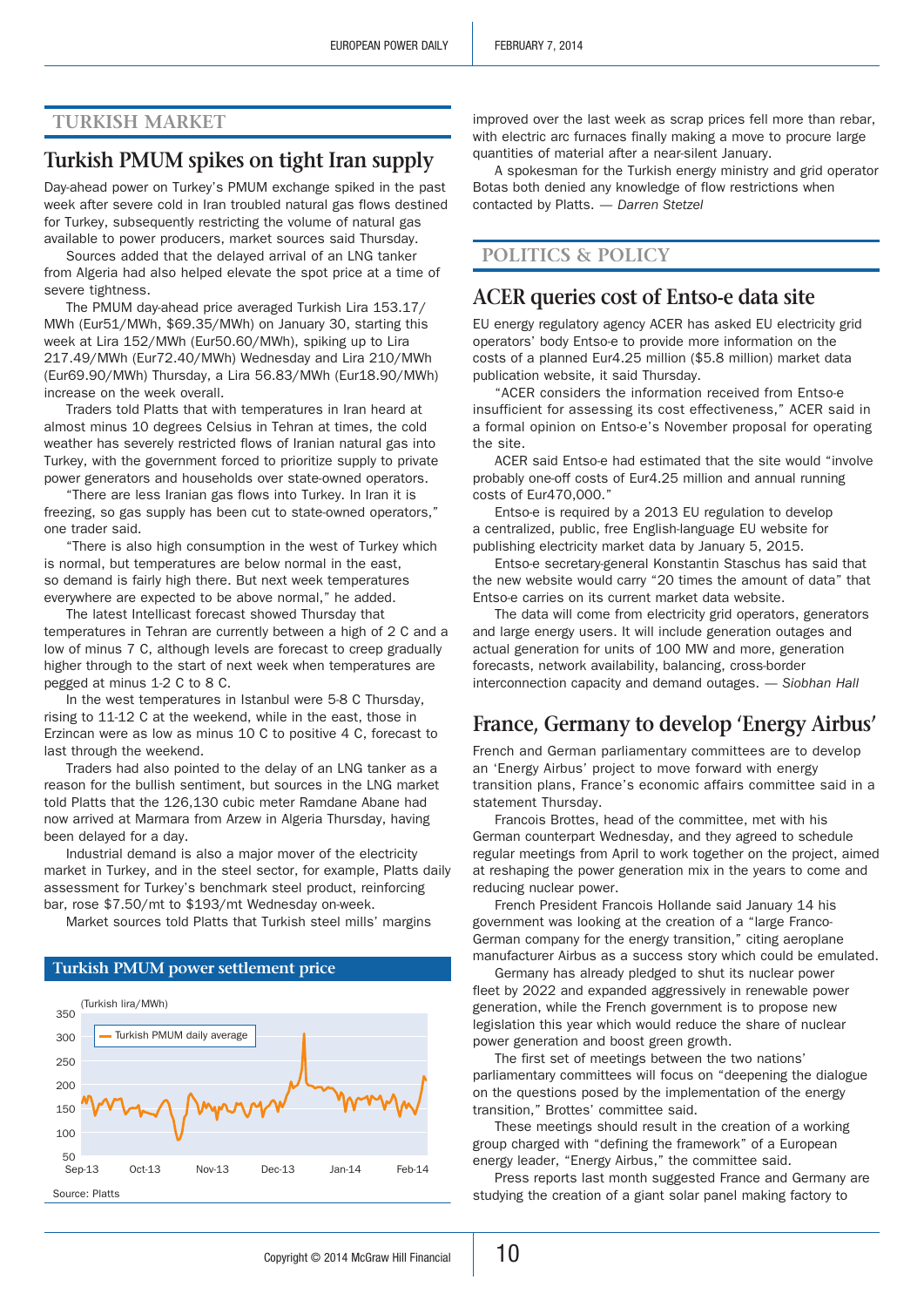# **Turkish Market**

# **Turkish PMUM spikes on tight Iran supply**

Day-ahead power on Turkey's PMUM exchange spiked in the past week after severe cold in Iran troubled natural gas flows destined for Turkey, subsequently restricting the volume of natural gas available to power producers, market sources said Thursday.

Sources added that the delayed arrival of an LNG tanker from Algeria had also helped elevate the spot price at a time of severe tightness.

The PMUM day-ahead price averaged Turkish Lira 153.17/ MWh (Eur51/MWh, \$69.35/MWh) on January 30, starting this week at Lira 152/MWh (Eur50.60/MWh), spiking up to Lira 217.49/MWh (Eur72.40/MWh) Wednesday and Lira 210/MWh (Eur69.90/MWh) Thursday, a Lira 56.83/MWh (Eur18.90/MWh) increase on the week overall.

Traders told Platts that with temperatures in Iran heard at almost minus 10 degrees Celsius in Tehran at times, the cold weather has severely restricted flows of Iranian natural gas into Turkey, with the government forced to prioritize supply to private power generators and households over state-owned operators.

"There are less Iranian gas flows into Turkey. In Iran it is freezing, so gas supply has been cut to state-owned operators," one trader said.

"There is also high consumption in the west of Turkey which is normal, but temperatures are below normal in the east, so demand is fairly high there. But next week temperatures everywhere are expected to be above normal," he added.

The latest Intellicast forecast showed Thursday that temperatures in Tehran are currently between a high of 2 C and a low of minus 7 C, although levels are forecast to creep gradually higher through to the start of next week when temperatures are pegged at minus 1-2 C to 8 C.

In the west temperatures in Istanbul were 5-8 C Thursday, rising to 11-12 C at the weekend, while in the east, those in Erzincan were as low as minus 10 C to positive 4 C, forecast to last through the weekend.

Traders had also pointed to the delay of an LNG tanker as a reason for the bullish sentiment, but sources in the LNG market told Platts that the 126,130 cubic meter Ramdane Abane had now arrived at Marmara from Arzew in Algeria Thursday, having been delayed for a day.

Industrial demand is also a major mover of the electricity market in Turkey, and in the steel sector, for example, Platts daily assessment for Turkey's benchmark steel product, reinforcing bar, rose \$7.50/mt to \$193/mt Wednesday on-week.

Market sources told Platts that Turkish steel mills' margins

# **Turkish PMUM power settlement price**



improved over the last week as scrap prices fell more than rebar, with electric arc furnaces finally making a move to procure large quantities of material after a near-silent January.

A spokesman for the Turkish energy ministry and grid operator Botas both denied any knowledge of flow restrictions when contacted by Platts. *— Darren Stetzel*

# **Politics & Policy**

# **ACER queries cost of Entso-e data site**

EU energy regulatory agency ACER has asked EU electricity grid operators' body Entso-e to provide more information on the costs of a planned Eur4.25 million (\$5.8 million) market data publication website, it said Thursday.

"ACER considers the information received from Entso-e insufficient for assessing its cost effectiveness," ACER said in a formal opinion on Entso-e's November proposal for operating the site.

ACER said Entso-e had estimated that the site would "involve probably one-off costs of Eur4.25 million and annual running costs of Eur470,000."

Entso-e is required by a 2013 EU regulation to develop a centralized, public, free English-language EU website for publishing electricity market data by January 5, 2015.

Entso-e secretary-general Konstantin Staschus has said that the new website would carry "20 times the amount of data" that Entso-e carries on its current market data website.

The data will come from electricity grid operators, generators and large energy users. It will include generation outages and actual generation for units of 100 MW and more, generation forecasts, network availability, balancing, cross-border interconnection capacity and demand outages. *— Siobhan Hall*

# **France, Germany to develop 'Energy Airbus'**

French and German parliamentary committees are to develop an 'Energy Airbus' project to move forward with energy transition plans, France's economic affairs committee said in a statement Thursday.

Francois Brottes, head of the committee, met with his German counterpart Wednesday, and they agreed to schedule regular meetings from April to work together on the project, aimed at reshaping the power generation mix in the years to come and reducing nuclear power.

French President Francois Hollande said January 14 his government was looking at the creation of a "large Franco-German company for the energy transition," citing aeroplane manufacturer Airbus as a success story which could be emulated.

Germany has already pledged to shut its nuclear power fleet by 2022 and expanded aggressively in renewable power generation, while the French government is to propose new legislation this year which would reduce the share of nuclear power generation and boost green growth.

The first set of meetings between the two nations' parliamentary committees will focus on "deepening the dialogue on the questions posed by the implementation of the energy transition," Brottes' committee said.

These meetings should result in the creation of a working group charged with "defining the framework" of a European energy leader, "Energy Airbus," the committee said.

Press reports last month suggested France and Germany are studying the creation of a giant solar panel making factory to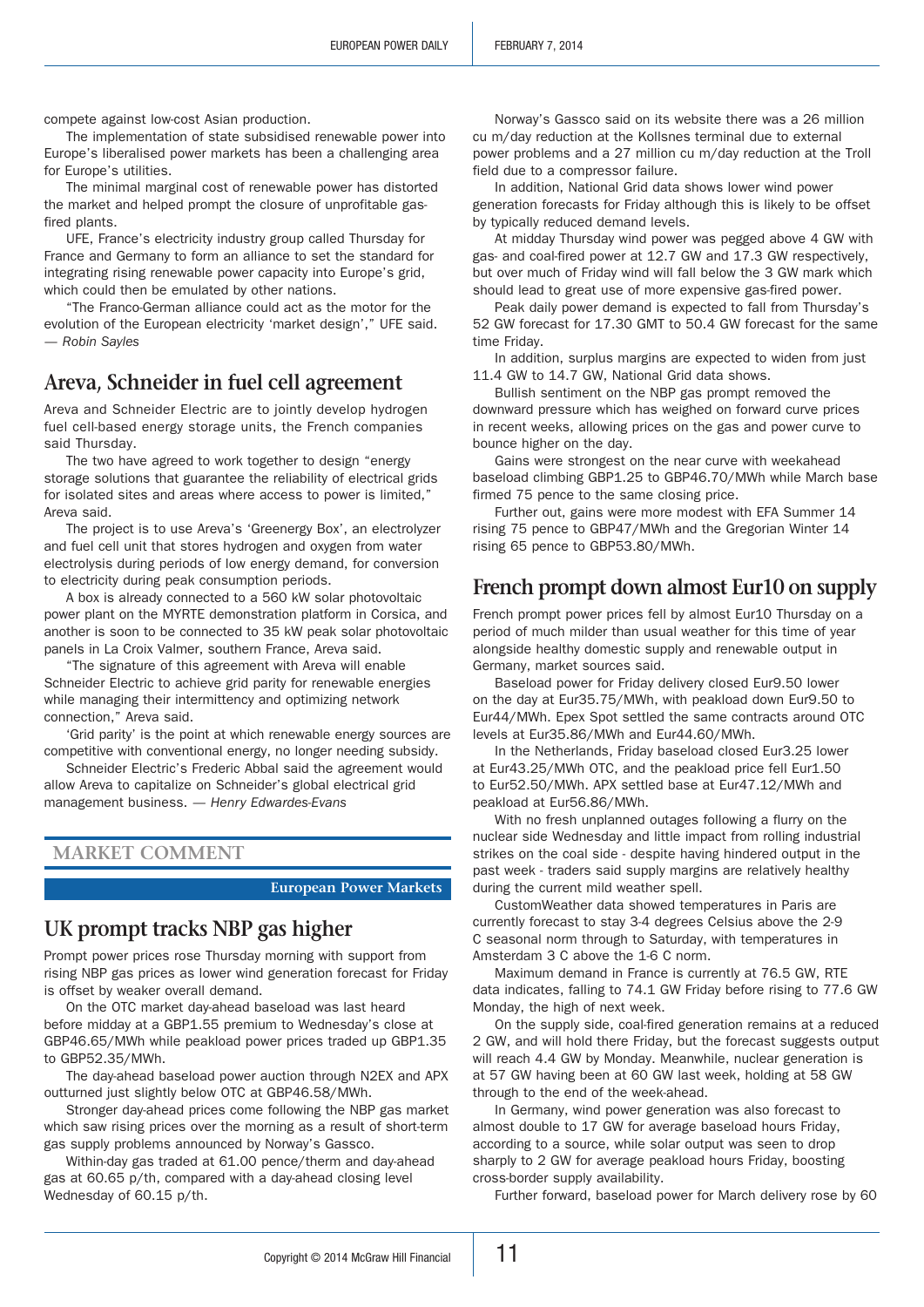compete against low-cost Asian production.

The implementation of state subsidised renewable power into Europe's liberalised power markets has been a challenging area for Europe's utilities.

The minimal marginal cost of renewable power has distorted the market and helped prompt the closure of unprofitable gasfired plants.

UFE, France's electricity industry group called Thursday for France and Germany to form an alliance to set the standard for integrating rising renewable power capacity into Europe's grid, which could then be emulated by other nations.

"The Franco-German alliance could act as the motor for the evolution of the European electricity 'market design'," UFE said. *— Robin Sayles*

# **Areva, Schneider in fuel cell agreement**

Areva and Schneider Electric are to jointly develop hydrogen fuel cell-based energy storage units, the French companies said Thursday.

The two have agreed to work together to design "energy storage solutions that guarantee the reliability of electrical grids for isolated sites and areas where access to power is limited," Areva said.

The project is to use Areva's 'Greenergy Box', an electrolyzer and fuel cell unit that stores hydrogen and oxygen from water electrolysis during periods of low energy demand, for conversion to electricity during peak consumption periods.

A box is already connected to a 560 kW solar photovoltaic power plant on the MYRTE demonstration platform in Corsica, and another is soon to be connected to 35 kW peak solar photovoltaic panels in La Croix Valmer, southern France, Areva said.

"The signature of this agreement with Areva will enable Schneider Electric to achieve grid parity for renewable energies while managing their intermittency and optimizing network connection," Areva said.

'Grid parity' is the point at which renewable energy sources are competitive with conventional energy, no longer needing subsidy.

Schneider Electric's Frederic Abbal said the agreement would allow Areva to capitalize on Schneider's global electrical grid management business. *— Henry Edwardes-Evans*

**Market Comment**

#### **European Power Markets**

# **UK prompt tracks NBP gas higher**

Prompt power prices rose Thursday morning with support from rising NBP gas prices as lower wind generation forecast for Friday is offset by weaker overall demand.

On the OTC market day-ahead baseload was last heard before midday at a GBP1.55 premium to Wednesday's close at GBP46.65/MWh while peakload power prices traded up GBP1.35 to GBP52.35/MWh.

The day-ahead baseload power auction through N2EX and APX outturned just slightly below OTC at GBP46.58/MWh.

Stronger day-ahead prices come following the NBP gas market which saw rising prices over the morning as a result of short-term gas supply problems announced by Norway's Gassco.

Within-day gas traded at 61.00 pence/therm and day-ahead gas at 60.65 p/th, compared with a day-ahead closing level Wednesday of 60.15 p/th.

Norway's Gassco said on its website there was a 26 million cu m/day reduction at the Kollsnes terminal due to external power problems and a 27 million cu m/day reduction at the Troll field due to a compressor failure.

In addition, National Grid data shows lower wind power generation forecasts for Friday although this is likely to be offset by typically reduced demand levels.

At midday Thursday wind power was pegged above 4 GW with gas- and coal-fired power at 12.7 GW and 17.3 GW respectively, but over much of Friday wind will fall below the 3 GW mark which should lead to great use of more expensive gas-fired power.

Peak daily power demand is expected to fall from Thursday's 52 GW forecast for 17.30 GMT to 50.4 GW forecast for the same time Friday.

In addition, surplus margins are expected to widen from just 11.4 GW to 14.7 GW, National Grid data shows.

Bullish sentiment on the NBP gas prompt removed the downward pressure which has weighed on forward curve prices in recent weeks, allowing prices on the gas and power curve to bounce higher on the day.

Gains were strongest on the near curve with weekahead baseload climbing GBP1.25 to GBP46.70/MWh while March base firmed 75 pence to the same closing price.

Further out, gains were more modest with EFA Summer 14 rising 75 pence to GBP47/MWh and the Gregorian Winter 14 rising 65 pence to GBP53.80/MWh.

# **French prompt down almost Eur10 on supply**

French prompt power prices fell by almost Eur10 Thursday on a period of much milder than usual weather for this time of year alongside healthy domestic supply and renewable output in Germany, market sources said.

Baseload power for Friday delivery closed Eur9.50 lower on the day at Eur35.75/MWh, with peakload down Eur9.50 to Eur44/MWh. Epex Spot settled the same contracts around OTC levels at Eur35.86/MWh and Eur44.60/MWh.

In the Netherlands, Friday baseload closed Eur3.25 lower at Eur43.25/MWh OTC, and the peakload price fell Eur1.50 to Eur52.50/MWh. APX settled base at Eur47.12/MWh and peakload at Eur56.86/MWh.

With no fresh unplanned outages following a flurry on the nuclear side Wednesday and little impact from rolling industrial strikes on the coal side - despite having hindered output in the past week - traders said supply margins are relatively healthy during the current mild weather spell.

CustomWeather data showed temperatures in Paris are currently forecast to stay 3-4 degrees Celsius above the 2-9 C seasonal norm through to Saturday, with temperatures in Amsterdam 3 C above the 1-6 C norm.

Maximum demand in France is currently at 76.5 GW, RTE data indicates, falling to 74.1 GW Friday before rising to 77.6 GW Monday, the high of next week.

On the supply side, coal-fired generation remains at a reduced 2 GW, and will hold there Friday, but the forecast suggests output will reach 4.4 GW by Monday. Meanwhile, nuclear generation is at 57 GW having been at 60 GW last week, holding at 58 GW through to the end of the week-ahead.

In Germany, wind power generation was also forecast to almost double to 17 GW for average baseload hours Friday, according to a source, while solar output was seen to drop sharply to 2 GW for average peakload hours Friday, boosting cross-border supply availability.

Further forward, baseload power for March delivery rose by 60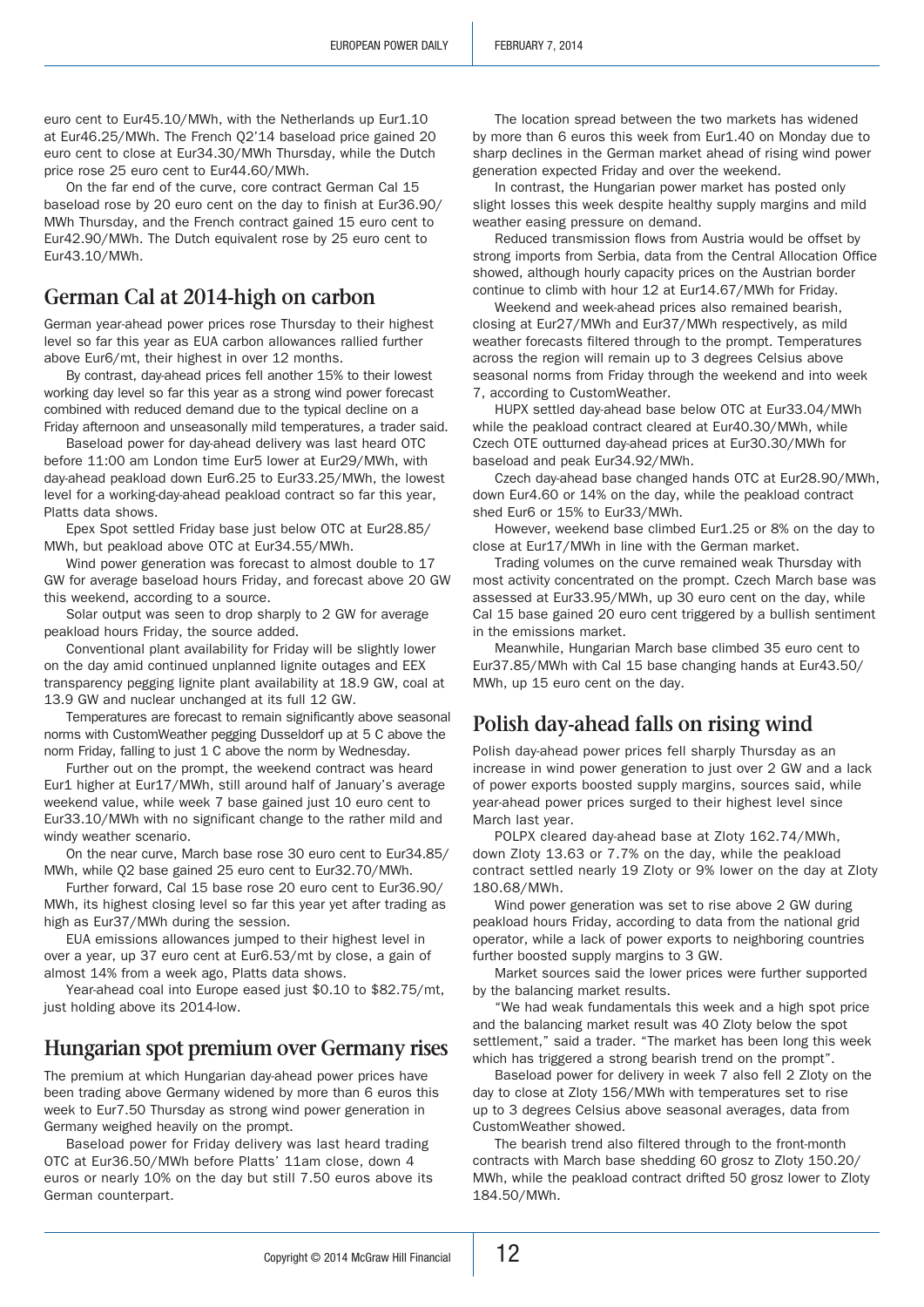euro cent to Eur45.10/MWh, with the Netherlands up Eur1.10 at Eur46.25/MWh. The French Q2'14 baseload price gained 20 euro cent to close at Eur34.30/MWh Thursday, while the Dutch price rose 25 euro cent to Eur44.60/MWh.

On the far end of the curve, core contract German Cal 15 baseload rose by 20 euro cent on the day to finish at Eur36.90/ MWh Thursday, and the French contract gained 15 euro cent to Eur42.90/MWh. The Dutch equivalent rose by 25 euro cent to Eur43.10/MWh.

# **German Cal at 2014-high on carbon**

German year-ahead power prices rose Thursday to their highest level so far this year as EUA carbon allowances rallied further above Eur6/mt, their highest in over 12 months.

By contrast, day-ahead prices fell another 15% to their lowest working day level so far this year as a strong wind power forecast combined with reduced demand due to the typical decline on a Friday afternoon and unseasonally mild temperatures, a trader said.

Baseload power for day-ahead delivery was last heard OTC before 11:00 am London time Eur5 lower at Eur29/MWh, with day-ahead peakload down Eur6.25 to Eur33.25/MWh, the lowest level for a working-day-ahead peakload contract so far this year, Platts data shows.

Epex Spot settled Friday base just below OTC at Eur28.85/ MWh, but peakload above OTC at Eur34.55/MWh.

Wind power generation was forecast to almost double to 17 GW for average baseload hours Friday, and forecast above 20 GW this weekend, according to a source.

Solar output was seen to drop sharply to 2 GW for average peakload hours Friday, the source added.

Conventional plant availability for Friday will be slightly lower on the day amid continued unplanned lignite outages and EEX transparency pegging lignite plant availability at 18.9 GW, coal at 13.9 GW and nuclear unchanged at its full 12 GW.

Temperatures are forecast to remain significantly above seasonal norms with CustomWeather pegging Dusseldorf up at 5 C above the norm Friday, falling to just 1 C above the norm by Wednesday.

Further out on the prompt, the weekend contract was heard Eur1 higher at Eur17/MWh, still around half of January's average weekend value, while week 7 base gained just 10 euro cent to Eur33.10/MWh with no significant change to the rather mild and windy weather scenario.

On the near curve, March base rose 30 euro cent to Eur34.85/ MWh, while Q2 base gained 25 euro cent to Eur32.70/MWh.

Further forward, Cal 15 base rose 20 euro cent to Eur36.90/ MWh, its highest closing level so far this year yet after trading as high as Eur37/MWh during the session.

EUA emissions allowances jumped to their highest level in over a year, up 37 euro cent at Eur6.53/mt by close, a gain of almost 14% from a week ago, Platts data shows.

Year-ahead coal into Europe eased just \$0.10 to \$82.75/mt, just holding above its 2014-low.

# **Hungarian spot premium over Germany rises**

The premium at which Hungarian day-ahead power prices have been trading above Germany widened by more than 6 euros this week to Eur7.50 Thursday as strong wind power generation in Germany weighed heavily on the prompt.

Baseload power for Friday delivery was last heard trading OTC at Eur36.50/MWh before Platts' 11am close, down 4 euros or nearly 10% on the day but still 7.50 euros above its German counterpart.

The location spread between the two markets has widened by more than 6 euros this week from Eur1.40 on Monday due to sharp declines in the German market ahead of rising wind power generation expected Friday and over the weekend.

In contrast, the Hungarian power market has posted only slight losses this week despite healthy supply margins and mild weather easing pressure on demand.

Reduced transmission flows from Austria would be offset by strong imports from Serbia, data from the Central Allocation Office showed, although hourly capacity prices on the Austrian border continue to climb with hour 12 at Eur14.67/MWh for Friday.

Weekend and week-ahead prices also remained bearish, closing at Eur27/MWh and Eur37/MWh respectively, as mild weather forecasts filtered through to the prompt. Temperatures across the region will remain up to 3 degrees Celsius above seasonal norms from Friday through the weekend and into week 7, according to CustomWeather.

HUPX settled day-ahead base below OTC at Eur33.04/MWh while the peakload contract cleared at Eur40.30/MWh, while Czech OTE outturned day-ahead prices at Eur30.30/MWh for baseload and peak Eur34.92/MWh.

Czech day-ahead base changed hands OTC at Eur28.90/MWh, down Eur4.60 or 14% on the day, while the peakload contract shed Eur6 or 15% to Eur33/MWh.

However, weekend base climbed Eur1.25 or 8% on the day to close at Eur17/MWh in line with the German market.

Trading volumes on the curve remained weak Thursday with most activity concentrated on the prompt. Czech March base was assessed at Eur33.95/MWh, up 30 euro cent on the day, while Cal 15 base gained 20 euro cent triggered by a bullish sentiment in the emissions market.

Meanwhile, Hungarian March base climbed 35 euro cent to Eur37.85/MWh with Cal 15 base changing hands at Eur43.50/ MWh, up 15 euro cent on the day.

# **Polish day-ahead falls on rising wind**

Polish day-ahead power prices fell sharply Thursday as an increase in wind power generation to just over 2 GW and a lack of power exports boosted supply margins, sources said, while year-ahead power prices surged to their highest level since March last year.

POLPX cleared day-ahead base at Zloty 162.74/MWh, down Zloty 13.63 or 7.7% on the day, while the peakload contract settled nearly 19 Zloty or 9% lower on the day at Zloty 180.68/MWh.

Wind power generation was set to rise above 2 GW during peakload hours Friday, according to data from the national grid operator, while a lack of power exports to neighboring countries further boosted supply margins to 3 GW.

Market sources said the lower prices were further supported by the balancing market results.

"We had weak fundamentals this week and a high spot price and the balancing market result was 40 Zloty below the spot settlement," said a trader. "The market has been long this week which has triggered a strong bearish trend on the prompt".

Baseload power for delivery in week 7 also fell 2 Zloty on the day to close at Zloty 156/MWh with temperatures set to rise up to 3 degrees Celsius above seasonal averages, data from CustomWeather showed.

The bearish trend also filtered through to the front-month contracts with March base shedding 60 grosz to Zloty 150.20/ MWh, while the peakload contract drifted 50 grosz lower to Zloty 184.50/MWh.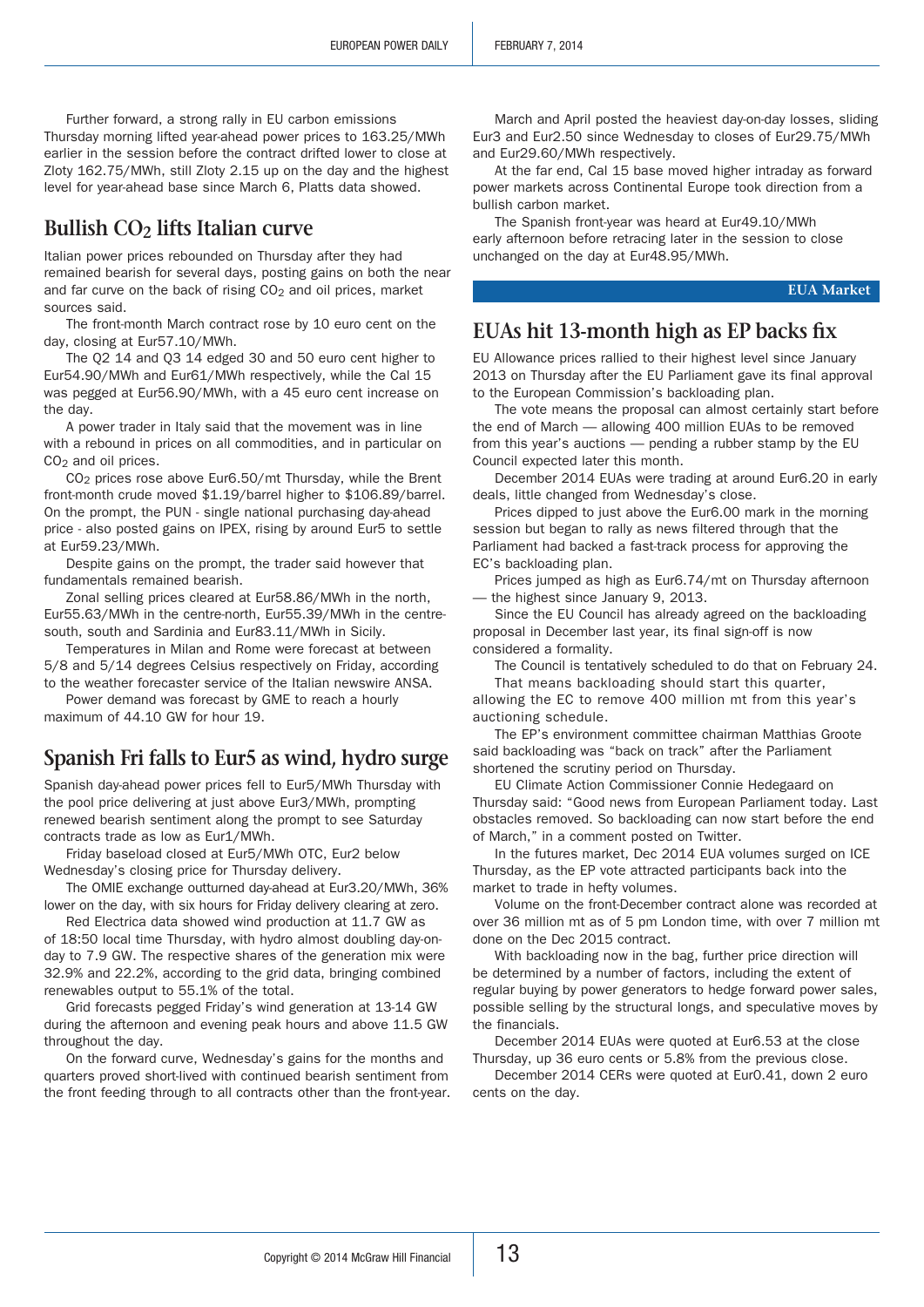Further forward, a strong rally in EU carbon emissions Thursday morning lifted year-ahead power prices to 163.25/MWh earlier in the session before the contract drifted lower to close at Zloty 162.75/MWh, still Zloty 2.15 up on the day and the highest level for year-ahead base since March 6, Platts data showed.

# **Bullish CO2 lifts Italian curve**

Italian power prices rebounded on Thursday after they had remained bearish for several days, posting gains on both the near and far curve on the back of rising  $CO<sub>2</sub>$  and oil prices, market sources said.

The front-month March contract rose by 10 euro cent on the day, closing at Eur57.10/MWh.

The Q2 14 and Q3 14 edged 30 and 50 euro cent higher to Eur54.90/MWh and Eur61/MWh respectively, while the Cal 15 was pegged at Eur56.90/MWh, with a 45 euro cent increase on the day.

A power trader in Italy said that the movement was in line with a rebound in prices on all commodities, and in particular on  $CO<sub>2</sub>$  and oil prices.

CO2 prices rose above Eur6.50/mt Thursday, while the Brent front-month crude moved \$1.19/barrel higher to \$106.89/barrel. On the prompt, the PUN - single national purchasing day-ahead price - also posted gains on IPEX, rising by around Eur5 to settle at Eur59.23/MWh.

Despite gains on the prompt, the trader said however that fundamentals remained bearish.

Zonal selling prices cleared at Eur58.86/MWh in the north, Eur55.63/MWh in the centre-north, Eur55.39/MWh in the centresouth, south and Sardinia and Eur83.11/MWh in Sicily.

Temperatures in Milan and Rome were forecast at between 5/8 and 5/14 degrees Celsius respectively on Friday, according to the weather forecaster service of the Italian newswire ANSA.

Power demand was forecast by GME to reach a hourly maximum of 44.10 GW for hour 19.

# **Spanish Fri falls to Eur5 as wind, hydro surge**

Spanish day-ahead power prices fell to Eur5/MWh Thursday with the pool price delivering at just above Eur3/MWh, prompting renewed bearish sentiment along the prompt to see Saturday contracts trade as low as Eur1/MWh.

Friday baseload closed at Eur5/MWh OTC, Eur2 below Wednesday's closing price for Thursday delivery.

The OMIE exchange outturned day-ahead at Eur3.20/MWh, 36% lower on the day, with six hours for Friday delivery clearing at zero.

Red Electrica data showed wind production at 11.7 GW as of 18:50 local time Thursday, with hydro almost doubling day-onday to 7.9 GW. The respective shares of the generation mix were 32.9% and 22.2%, according to the grid data, bringing combined renewables output to 55.1% of the total.

Grid forecasts pegged Friday's wind generation at 13-14 GW during the afternoon and evening peak hours and above 11.5 GW throughout the day.

On the forward curve, Wednesday's gains for the months and quarters proved short-lived with continued bearish sentiment from the front feeding through to all contracts other than the front-year.

March and April posted the heaviest day-on-day losses, sliding Eur3 and Eur2.50 since Wednesday to closes of Eur29.75/MWh and Eur29.60/MWh respectively.

At the far end, Cal 15 base moved higher intraday as forward power markets across Continental Europe took direction from a bullish carbon market.

The Spanish front-year was heard at Eur49.10/MWh early afternoon before retracing later in the session to close unchanged on the day at Eur48.95/MWh.

**EUA Market**

# **EUAs hit 13-month high as EP backs fix**

EU Allowance prices rallied to their highest level since January 2013 on Thursday after the EU Parliament gave its final approval to the European Commission's backloading plan.

The vote means the proposal can almost certainly start before the end of March — allowing 400 million EUAs to be removed from this year's auctions — pending a rubber stamp by the EU Council expected later this month.

December 2014 EUAs were trading at around Eur6.20 in early deals, little changed from Wednesday's close.

Prices dipped to just above the Eur6.00 mark in the morning session but began to rally as news filtered through that the Parliament had backed a fast-track process for approving the EC's backloading plan.

Prices jumped as high as Eur6.74/mt on Thursday afternoon — the highest since January 9, 2013.

Since the EU Council has already agreed on the backloading proposal in December last year, its final sign-off is now considered a formality.

The Council is tentatively scheduled to do that on February 24. That means backloading should start this quarter,

allowing the EC to remove 400 million mt from this year's auctioning schedule.

The EP's environment committee chairman Matthias Groote said backloading was "back on track" after the Parliament shortened the scrutiny period on Thursday.

EU Climate Action Commissioner Connie Hedegaard on Thursday said: "Good news from European Parliament today. Last obstacles removed. So backloading can now start before the end of March," in a comment posted on Twitter.

In the futures market, Dec 2014 EUA volumes surged on ICE Thursday, as the EP vote attracted participants back into the market to trade in hefty volumes.

Volume on the front-December contract alone was recorded at over 36 million mt as of 5 pm London time, with over 7 million mt done on the Dec 2015 contract.

With backloading now in the bag, further price direction will be determined by a number of factors, including the extent of regular buying by power generators to hedge forward power sales, possible selling by the structural longs, and speculative moves by the financials.

December 2014 EUAs were quoted at Eur6.53 at the close Thursday, up 36 euro cents or 5.8% from the previous close.

December 2014 CERs were quoted at Eur0.41, down 2 euro cents on the day.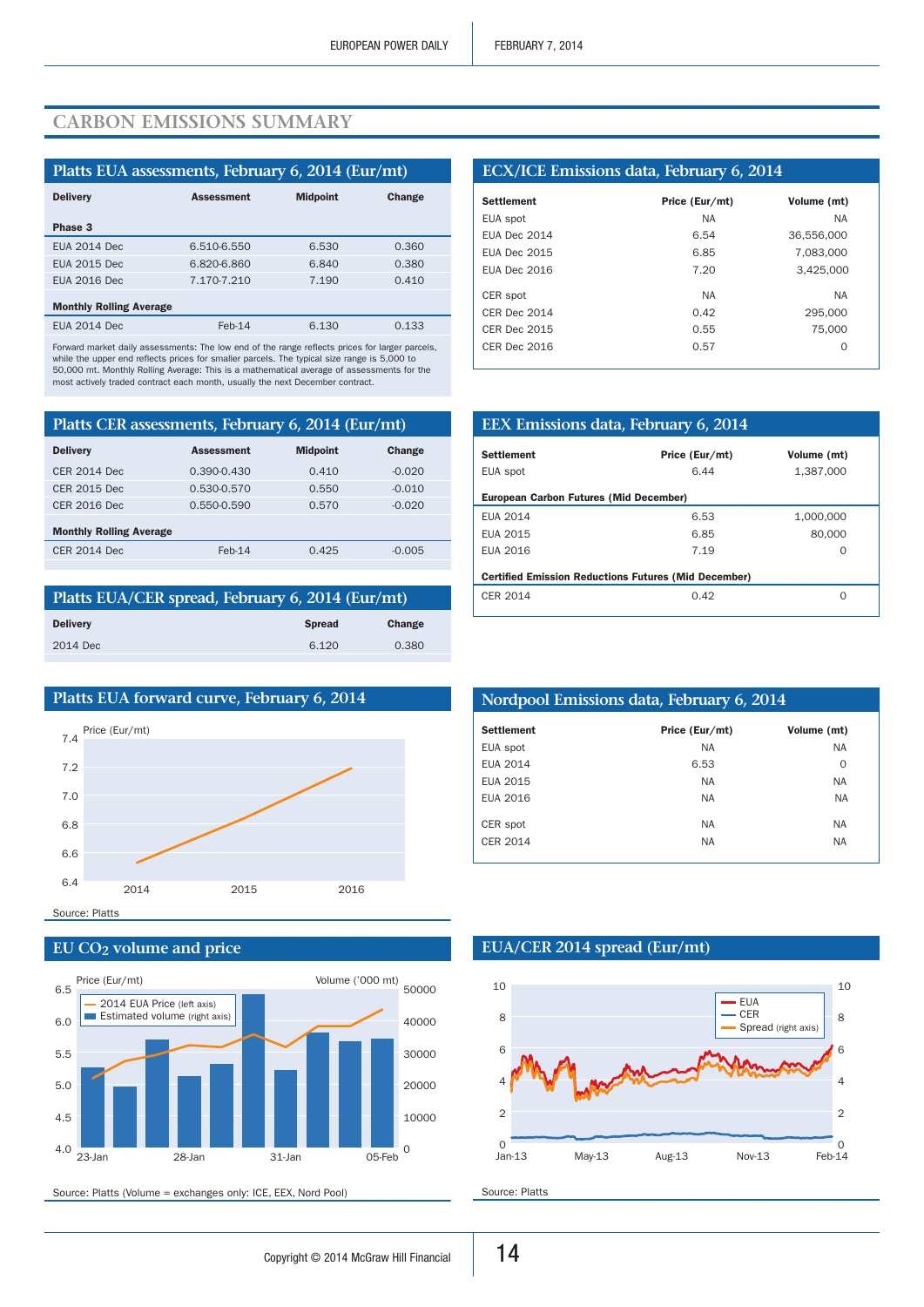# **Carbon emissions summary**

| Platts EUA assessments, February 6, 2014 (Eur/mt) |                   |                 |        |  |  |
|---------------------------------------------------|-------------------|-----------------|--------|--|--|
| <b>Delivery</b>                                   | <b>Assessment</b> | <b>Midpoint</b> | Change |  |  |
| Phase 3                                           |                   |                 |        |  |  |
| <b>EUA 2014 Dec</b>                               | 6.510-6.550       | 6.530           | 0.360  |  |  |
| <b>EUA 2015 Dec</b>                               | 6.820-6.860       | 6.840           | 0.380  |  |  |
| <b>EUA 2016 Dec</b>                               | 7.170-7.210       | 7.190           | 0.410  |  |  |
| <b>Monthly Rolling Average</b>                    |                   |                 |        |  |  |
| <b>EUA 2014 Dec</b>                               | $Feb-14$          | 6.130           | 0.133  |  |  |

Forward market daily assessments: The low end of the range reflects prices for larger parcels, while the upper end reflects prices for smaller parcels. The typical size range is 5,000 to 50,000 mt. Monthly Rolling Average: This is a mathematical average of assessments for the most actively traded contract each month, usually the next December contract.

| Platts CER assessments, February 6, 2014 (Eur/mt) |                   |                 |               |  |  |  |
|---------------------------------------------------|-------------------|-----------------|---------------|--|--|--|
| <b>Delivery</b>                                   | <b>Assessment</b> | <b>Midpoint</b> | <b>Change</b> |  |  |  |
| <b>CER 2014 Dec</b>                               | 0.390-0.430       | 0.410           | $-0.020$      |  |  |  |
| <b>CER 2015 Dec</b>                               | 0.530-0.570       | 0.550           | $-0.010$      |  |  |  |
| CER 2016 Dec                                      | 0.550-0.590       | 0.570           | $-0.020$      |  |  |  |
| <b>Monthly Rolling Average</b>                    |                   |                 |               |  |  |  |
| <b>CER 2014 Dec</b>                               | $Feb-14$          | 0.425           | $-0.005$      |  |  |  |
|                                                   |                   |                 |               |  |  |  |

| Platts EUA/CER spread, February 6, 2014 (Eur/mt) |               |        |  |  |  |
|--------------------------------------------------|---------------|--------|--|--|--|
| <b>Delivery</b>                                  | <b>Spread</b> | Change |  |  |  |
| 2014 Dec                                         | 6.120         | 0.380  |  |  |  |
|                                                  |               |        |  |  |  |



## **EU CO2 volume and price**



Source: Platts (Volume = exchanges only: ICE, EEX, Nord Pool)

## **ECX/ICE Emissions data, February 6, 2014**

| <b>Settlement</b>   | Price (Eur/mt) | Volume (mt) |
|---------------------|----------------|-------------|
| EUA spot            | <b>NA</b>      | <b>NA</b>   |
| FUA Dec 2014        | 6.54           | 36,556,000  |
| <b>EUA Dec 2015</b> | 6.85           | 7,083,000   |
| FUA Dec 2016        | 7.20           | 3,425,000   |
|                     |                |             |
| CER spot            | <b>NA</b>      | <b>NA</b>   |
| CFR Dec 2014        | 0.42           | 295,000     |
| <b>CER Dec 2015</b> | 0.55           | 75,000      |
| <b>CER Dec 2016</b> | 0.57           | $\Omega$    |
|                     |                |             |

| EEX Emissions data, February 6, 2014                        |                |                  |  |  |  |  |
|-------------------------------------------------------------|----------------|------------------|--|--|--|--|
| <b>Settlement</b>                                           | Price (Eur/mt) | Volume (mt)      |  |  |  |  |
| EUA spot                                                    | 6.44           | 1.387.000        |  |  |  |  |
| <b>European Carbon Futures (Mid December)</b>               |                |                  |  |  |  |  |
| EUA 2014                                                    | 6.53           | 1.000.000        |  |  |  |  |
| EUA 2015                                                    | 6.85           | 80,000           |  |  |  |  |
| EUA 2016                                                    | 7.19           | 0                |  |  |  |  |
| <b>Certified Emission Reductions Futures (Mid December)</b> |                |                  |  |  |  |  |
| CER 2014                                                    | 0.42           | $\left( \right)$ |  |  |  |  |

| Nordpool Emissions data, February 6, 2014 |                |             |  |  |  |
|-------------------------------------------|----------------|-------------|--|--|--|
| <b>Settlement</b>                         | Price (Eur/mt) | Volume (mt) |  |  |  |
| EUA spot                                  | <b>NA</b>      | <b>NA</b>   |  |  |  |
| <b>EUA 2014</b>                           | 6.53           | $\Omega$    |  |  |  |
| EUA 2015                                  | <b>NA</b>      | <b>NA</b>   |  |  |  |
| EUA 2016                                  | <b>NA</b>      | <b>NA</b>   |  |  |  |
| CER spot                                  | <b>NA</b>      | <b>NA</b>   |  |  |  |
| CER 2014                                  | <b>NA</b>      | <b>NA</b>   |  |  |  |

## **EUA/CER 2014 spread (Eur/mt)**



Source: Platts